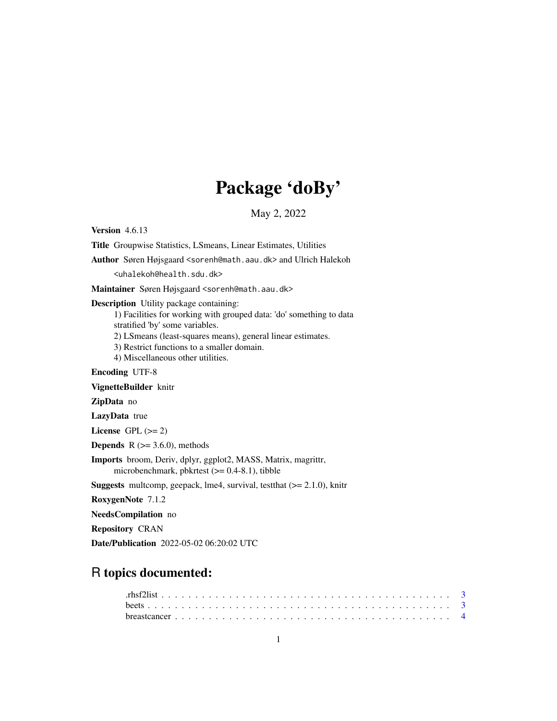# Package 'doBy'

May 2, 2022

<span id="page-0-0"></span>Version 4.6.13 Title Groupwise Statistics, LSmeans, Linear Estimates, Utilities Author Søren Højsgaard <sorenh@math.aau.dk> and Ulrich Halekoh <uhalekoh@health.sdu.dk> Maintainer Søren Højsgaard <sorenh@math.aau.dk> Description Utility package containing: 1) Facilities for working with grouped data: 'do' something to data stratified 'by' some variables. 2) LSmeans (least-squares means), general linear estimates. 3) Restrict functions to a smaller domain. 4) Miscellaneous other utilities. Encoding UTF-8 VignetteBuilder knitr ZipData no LazyData true License GPL  $(>= 2)$ **Depends**  $R$  ( $>= 3.6.0$ ), methods Imports broom, Deriv, dplyr, ggplot2, MASS, Matrix, magrittr, microbenchmark, pbkrtest  $(>= 0.4-8.1)$ , tibble Suggests multcomp, geepack, lme4, survival, test that  $(>= 2.1.0)$ , knitr RoxygenNote 7.1.2 NeedsCompilation no Repository CRAN

Date/Publication 2022-05-02 06:20:02 UTC

# R topics documented: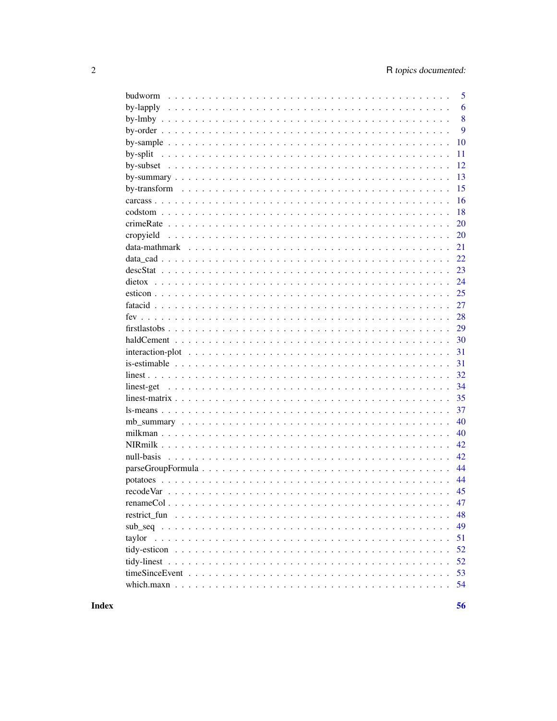| budworm   | 5  |
|-----------|----|
|           | 6  |
|           | 8  |
|           | 9  |
|           | 10 |
|           | 11 |
|           | 12 |
|           | 13 |
|           | 15 |
|           | 16 |
|           | 18 |
|           | 20 |
| cropyield | 20 |
|           | 21 |
|           | 22 |
|           | 23 |
|           | 24 |
|           | 25 |
|           | 27 |
|           | 28 |
|           | 29 |
|           | 30 |
|           | 31 |
|           | 31 |
|           | 32 |
|           | 34 |
|           | 35 |
|           | 37 |
|           | 40 |
|           | 40 |
|           | 42 |
|           | 42 |
|           | 44 |
|           | 44 |
|           | 45 |
|           | 47 |
|           | 48 |
|           | 49 |
| taylor    | 51 |
|           | 52 |
|           | 52 |
|           | 53 |
|           | 54 |
|           |    |

56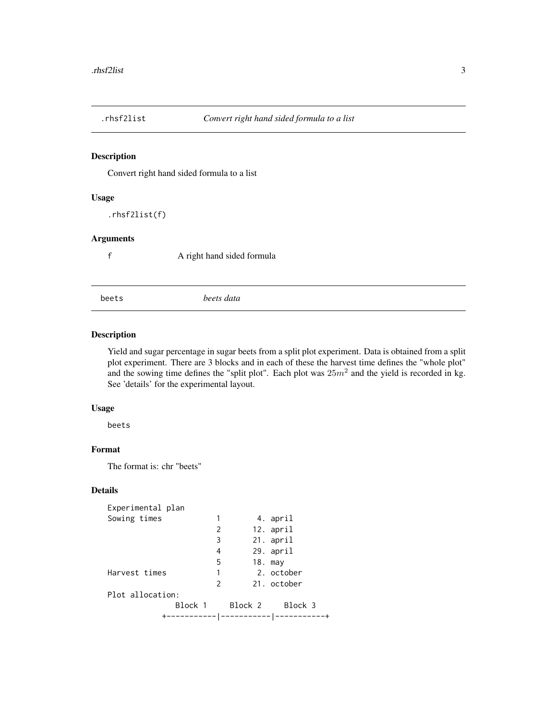<span id="page-2-0"></span>

Convert right hand sided formula to a list

# Usage

.rhsf2list(f)

# Arguments

f A right hand sided formula

# beets *beets data*

# Description

Yield and sugar percentage in sugar beets from a split plot experiment. Data is obtained from a split plot experiment. There are 3 blocks and in each of these the harvest time defines the "whole plot" and the sowing time defines the "split plot". Each plot was  $25m^2$  and the yield is recorded in kg. See 'details' for the experimental layout.

#### Usage

beets

# Format

The format is: chr "beets"

# Details

| Experimental plan |         |           |             |
|-------------------|---------|-----------|-------------|
| Sowing times      | 1       |           | 4. april    |
|                   | 2       |           | 12. april   |
|                   | 3       |           | 21. april   |
|                   | 4       |           | 29. april   |
|                   | 5       | 18. may   |             |
| Harvest times     | 1       |           | 2. october  |
|                   | 2       |           | 21. october |
| Plot allocation:  |         |           |             |
|                   | Block 1 | Block 2   | Block 3     |
|                   |         | --------- |             |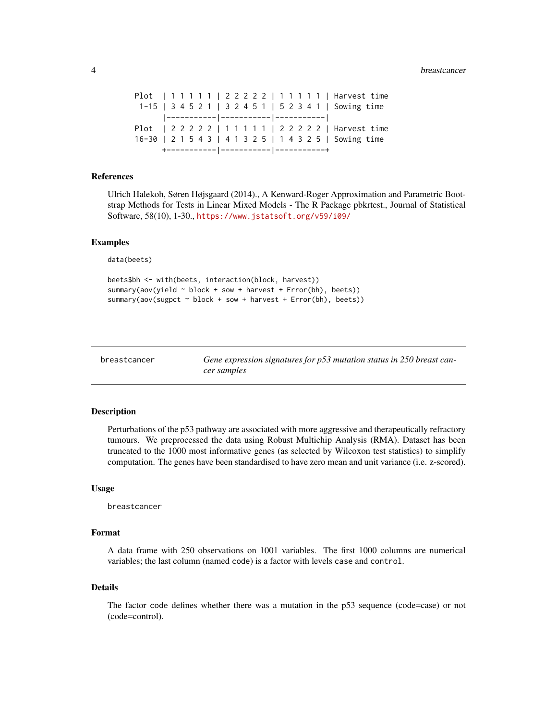<span id="page-3-0"></span>4 breastcancer and the state of the state of the state of the state of the state of the state of the state of the state of the state of the state of the state of the state of the state of the state of the state of the stat

mutation status in 250 breast can-

Plot | 1 1 1 1 1 | 2 2 2 2 2 | 1 1 1 1 1 | Harvest time 1-15 | 3 4 5 2 1 | 3 2 4 5 1 | 5 2 3 4 1 | Sowing time |-----------|-----------|-----------| Plot | 2 2 2 2 2 | 1 1 1 1 1 | 2 2 2 2 2 | Harvest time 16-30 | 2 1 5 4 3 | 4 1 3 2 5 | 1 4 3 2 5 | Sowing time +-----------|-----------|-----------+

#### References

Ulrich Halekoh, Søren Højsgaard (2014)., A Kenward-Roger Approximation and Parametric Bootstrap Methods for Tests in Linear Mixed Models - The R Package pbkrtest., Journal of Statistical Software, 58(10), 1-30., <https://www.jstatsoft.org/v59/i09/>

#### Examples

data(beets)

```
beets$bh <- with(beets, interaction(block, harvest))
summary(aov(yield ~ block + sow + harvest + Error(bh), beets))
summary(aov(sugpct ~ block + sow + harvest + Error(bh), beets))
```

| breastcancer | Gene expression signatures for p53 |
|--------------|------------------------------------|
|              | cer samples                        |

# **Description**

Perturbations of the p53 pathway are associated with more aggressive and therapeutically refractory tumours. We preprocessed the data using Robust Multichip Analysis (RMA). Dataset has been truncated to the 1000 most informative genes (as selected by Wilcoxon test statistics) to simplify computation. The genes have been standardised to have zero mean and unit variance (i.e. z-scored).

#### Usage

breastcancer

#### Format

A data frame with 250 observations on 1001 variables. The first 1000 columns are numerical variables; the last column (named code) is a factor with levels case and control.

#### Details

The factor code defines whether there was a mutation in the p53 sequence (code=case) or not (code=control).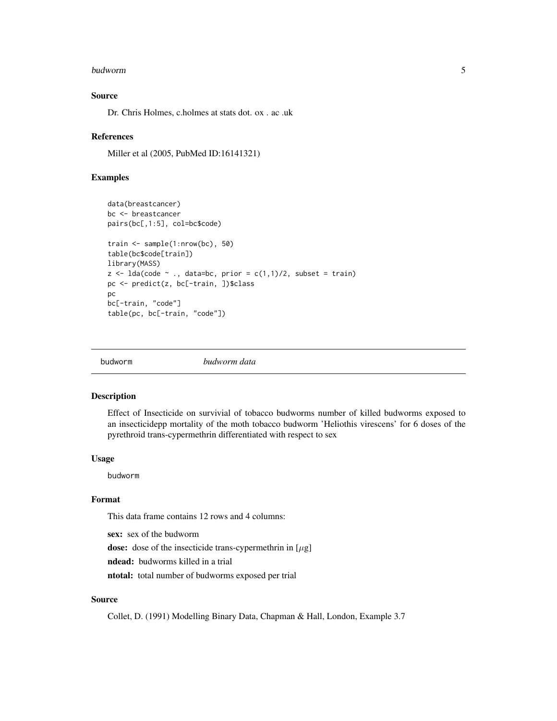#### <span id="page-4-0"></span>budworm 5

# Source

Dr. Chris Holmes, c.holmes at stats dot. ox . ac .uk

#### References

Miller et al (2005, PubMed ID:16141321)

# Examples

```
data(breastcancer)
bc <- breastcancer
pairs(bc[,1:5], col=bc$code)
train <- sample(1:nrow(bc), 50)
table(bc$code[train])
library(MASS)
z \le 1da(code \sim ., data=bc, prior = c(1,1)/2, subset = train)
pc <- predict(z, bc[-train, ])$class
pc
bc[-train, "code"]
table(pc, bc[-train, "code"])
```

| budworm | budworm data |
|---------|--------------|
|         |              |

# Description

Effect of Insecticide on survivial of tobacco budworms number of killed budworms exposed to an insecticidepp mortality of the moth tobacco budworm 'Heliothis virescens' for 6 doses of the pyrethroid trans-cypermethrin differentiated with respect to sex

#### Usage

budworm

#### Format

This data frame contains 12 rows and 4 columns:

sex: sex of the budworm

dose: dose of the insecticide trans-cypermethrin in  $[\mu g]$ 

ndead: budworms killed in a trial

ntotal: total number of budworms exposed per trial

# Source

Collet, D. (1991) Modelling Binary Data, Chapman & Hall, London, Example 3.7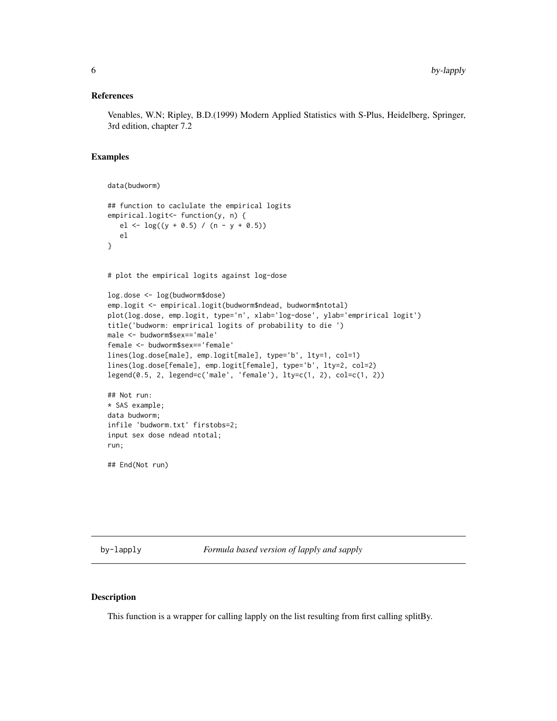#### <span id="page-5-0"></span>References

Venables, W.N; Ripley, B.D.(1999) Modern Applied Statistics with S-Plus, Heidelberg, Springer, 3rd edition, chapter 7.2

#### Examples

```
data(budworm)
## function to caclulate the empirical logits
empirical.logit<- function(y, n) {
   el <- \log((y + 0.5) / (n - y + 0.5))el
}
# plot the empirical logits against log-dose
log.dose <- log(budworm$dose)
emp.logit <- empirical.logit(budworm$ndead, budworm$ntotal)
plot(log.dose, emp.logit, type='n', xlab='log-dose', ylab='emprirical logit')
title('budworm: emprirical logits of probability to die ')
male <- budworm$sex=='male'
female <- budworm$sex=='female'
lines(log.dose[male], emp.logit[male], type='b', lty=1, col=1)
lines(log.dose[female], emp.logit[female], type='b', lty=2, col=2)
legend(0.5, 2, legend=c('male', 'female'), lty=c(1, 2), col=c(1, 2))
## Not run:
* SAS example;
data budworm;
infile 'budworm.txt' firstobs=2;
input sex dose ndead ntotal;
run;
## End(Not run)
```
by-lapply *Formula based version of lapply and sapply*

#### Description

This function is a wrapper for calling lapply on the list resulting from first calling splitBy.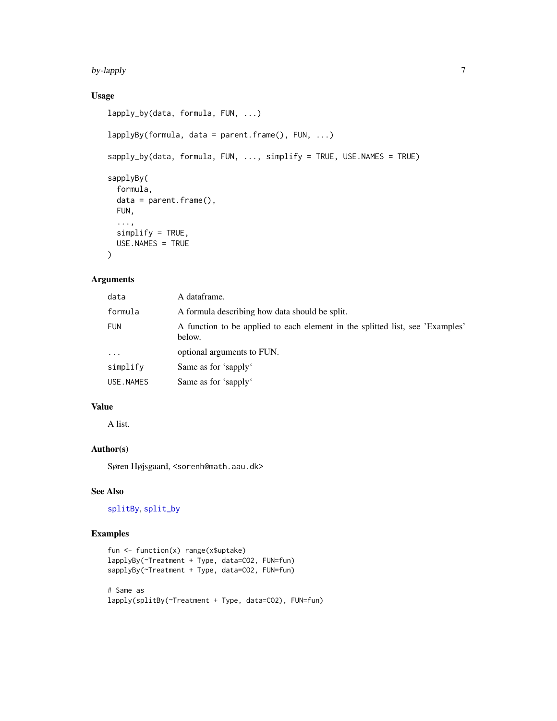#### <span id="page-6-0"></span>by-lapply  $\sim$  7

# Usage

```
lapply_by(data, formula, FUN, ...)
lapplyBy(formula, data = parent.frame(), FUN, ...)
sapply_by(data, formula, FUN, ..., simplify = TRUE, USE.NAMES = TRUE)
sapplyBy(
  formula,
 data = parent.frame(),
 FUN,
  ...,
  simplify = TRUE,
 USE.NAMES = TRUE
)
```
# Arguments

| data       | A dataframe.                                                                            |
|------------|-----------------------------------------------------------------------------------------|
| formula    | A formula describing how data should be split.                                          |
| <b>FUN</b> | A function to be applied to each element in the splitted list, see 'Examples'<br>below. |
| $\ddots$   | optional arguments to FUN.                                                              |
| simplify   | Same as for 'sapply'                                                                    |
| USE.NAMES  | Same as for 'sapply'                                                                    |

# Value

A list.

# Author(s)

Søren Højsgaard, <sorenh@math.aau.dk>

# See Also

[splitBy](#page-10-1), [split\\_by](#page-10-1)

```
fun <- function(x) range(x$uptake)
lapplyBy(~Treatment + Type, data=CO2, FUN=fun)
sapplyBy(~Treatment + Type, data=CO2, FUN=fun)
# Same as
lapply(splitBy(~Treatment + Type, data=CO2), FUN=fun)
```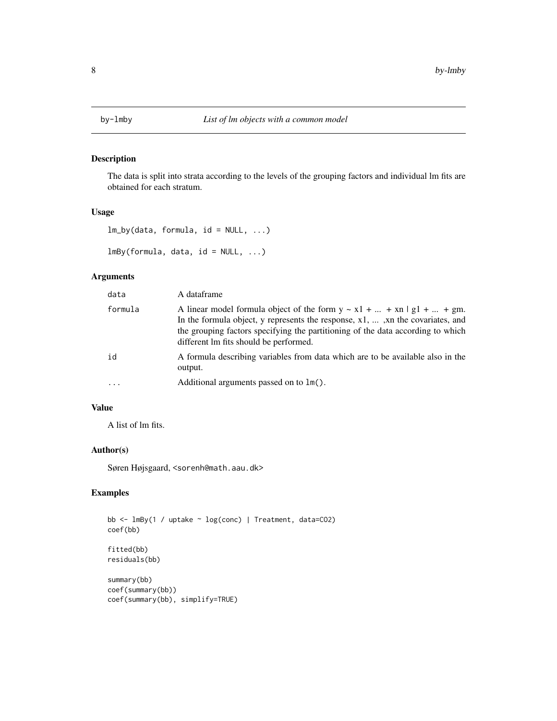<span id="page-7-0"></span>

The data is split into strata according to the levels of the grouping factors and individual lm fits are obtained for each stratum.

#### Usage

```
lm_by(data, formula, id = NULL, ...)
```
 $lmBy(formula, data, id = NULL, ...)$ 

# Arguments

| data      | A dataframe                                                                                                                                                                                                                                                                                       |
|-----------|---------------------------------------------------------------------------------------------------------------------------------------------------------------------------------------------------------------------------------------------------------------------------------------------------|
| formula   | A linear model formula object of the form $y \sim x1 +  + xn \mid g1 +  + gm$ .<br>In the formula object, y represents the response, $x1$ , , xn the covariates, and<br>the grouping factors specifying the partitioning of the data according to which<br>different lm fits should be performed. |
| id        | A formula describing variables from data which are to be available also in the<br>output.                                                                                                                                                                                                         |
| $\ddotsc$ | Additional arguments passed on to 1m().                                                                                                                                                                                                                                                           |

# Value

A list of lm fits.

# Author(s)

Søren Højsgaard, <sorenh@math.aau.dk>

```
bb <- lmBy(1 / uptake ~ log(conc) | Treatment, data=CO2)
coef(bb)
fitted(bb)
residuals(bb)
summary(bb)
coef(summary(bb))
coef(summary(bb), simplify=TRUE)
```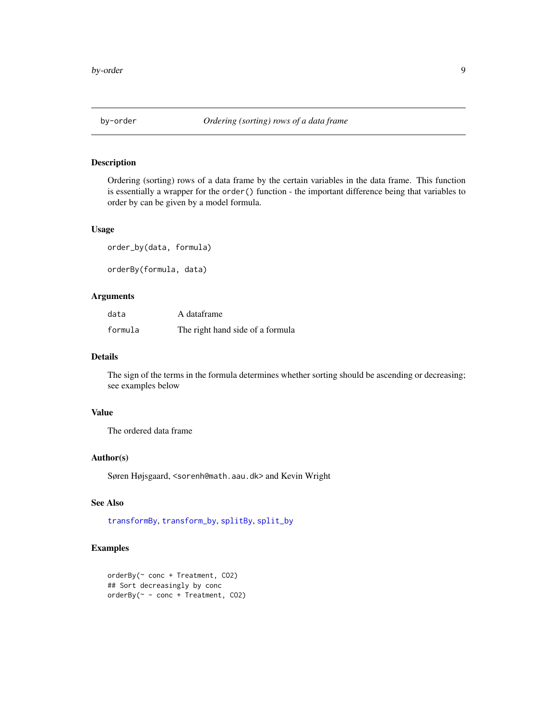<span id="page-8-1"></span><span id="page-8-0"></span>

Ordering (sorting) rows of a data frame by the certain variables in the data frame. This function is essentially a wrapper for the order() function - the important difference being that variables to order by can be given by a model formula.

## Usage

```
order_by(data, formula)
```
orderBy(formula, data)

# Arguments

| data    | A dataframe                      |
|---------|----------------------------------|
| formula | The right hand side of a formula |

#### Details

The sign of the terms in the formula determines whether sorting should be ascending or decreasing; see examples below

# Value

The ordered data frame

# Author(s)

Søren Højsgaard, <sorenh@math.aau.dk> and Kevin Wright

# See Also

[transformBy](#page-14-1), [transform\\_by](#page-14-1), [splitBy](#page-10-1), [split\\_by](#page-10-1)

```
orderBy(~ conc + Treatment, CO2)
## Sort decreasingly by conc
orderBy(~ - conc + Treatment, CO2)
```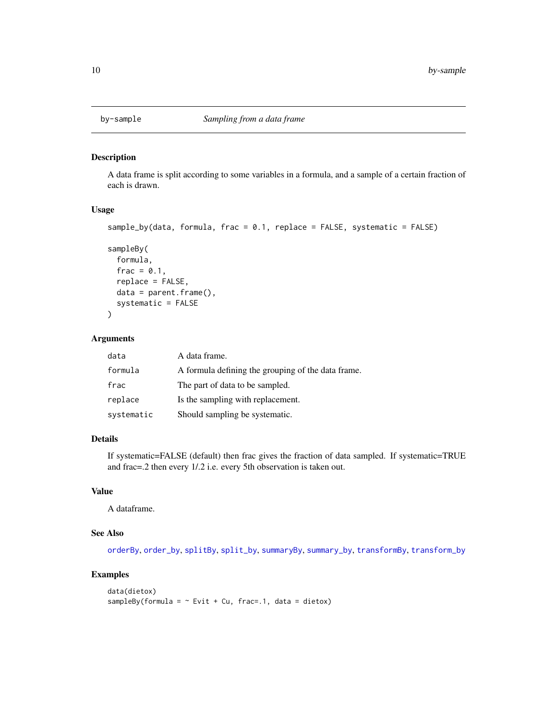<span id="page-9-0"></span>

A data frame is split according to some variables in a formula, and a sample of a certain fraction of each is drawn.

# Usage

```
sample_by(data, formula, frac = 0.1, replace = FALSE, systematic = FALSE)
```

```
sampleBy(
  formula,
 frac = 0.1,
 replace = FALSE,
 data = parent.frame(),systematic = FALSE
```
#### Arguments

)

| data       | A data frame.                                      |
|------------|----------------------------------------------------|
| formula    | A formula defining the grouping of the data frame. |
| frac       | The part of data to be sampled.                    |
| replace    | Is the sampling with replacement.                  |
| systematic | Should sampling be systematic.                     |

# Details

If systematic=FALSE (default) then frac gives the fraction of data sampled. If systematic=TRUE and frac=.2 then every 1/.2 i.e. every 5th observation is taken out.

# Value

A dataframe.

#### See Also

[orderBy](#page-8-1), [order\\_by](#page-8-1), [splitBy](#page-10-1), [split\\_by](#page-10-1), [summaryBy](#page-12-1), [summary\\_by](#page-12-1), [transformBy](#page-14-1), [transform\\_by](#page-14-1)

```
data(dietox)
sampleBy(formula = \sim Evit + Cu, frac=.1, data = dietox)
```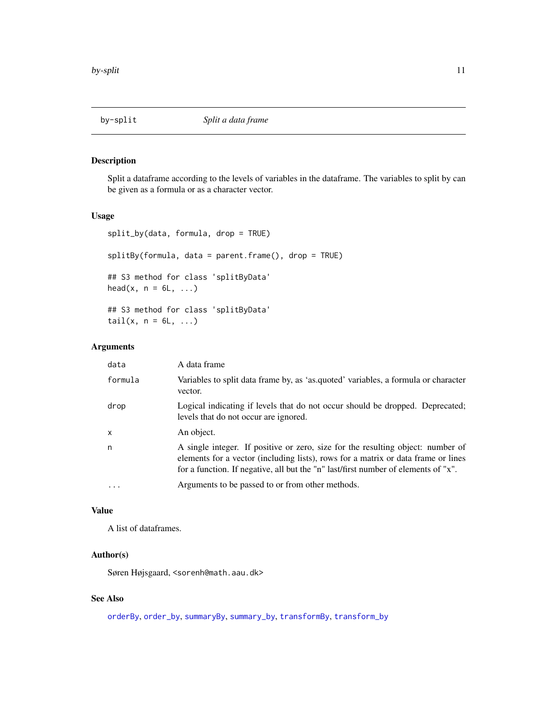<span id="page-10-1"></span><span id="page-10-0"></span>

Split a dataframe according to the levels of variables in the dataframe. The variables to split by can be given as a formula or as a character vector.

# Usage

```
split_by(data, formula, drop = TRUE)
splitBy(formula, data = parent.frame(), drop = TRUE)
## S3 method for class 'splitByData'
head(x, n = 6L, ...)
## S3 method for class 'splitByData'
tail(x, n = 6L, ...)
```
# Arguments

| data         | A data frame                                                                                                                                                                                                                                               |
|--------------|------------------------------------------------------------------------------------------------------------------------------------------------------------------------------------------------------------------------------------------------------------|
| formula      | Variables to split data frame by, as 'as.quoted' variables, a formula or character<br>vector.                                                                                                                                                              |
| drop         | Logical indicating if levels that do not occur should be dropped. Deprecated;<br>levels that do not occur are ignored.                                                                                                                                     |
| $\mathsf{x}$ | An object.                                                                                                                                                                                                                                                 |
| n            | A single integer. If positive or zero, size for the resulting object: number of<br>elements for a vector (including lists), rows for a matrix or data frame or lines<br>for a function. If negative, all but the "n" last/first number of elements of "x". |
|              | Arguments to be passed to or from other methods.                                                                                                                                                                                                           |

# Value

A list of dataframes.

# Author(s)

Søren Højsgaard, <sorenh@math.aau.dk>

#### See Also

[orderBy](#page-8-1), [order\\_by](#page-8-1), [summaryBy](#page-12-1), [summary\\_by](#page-12-1), [transformBy](#page-14-1), [transform\\_by](#page-14-1)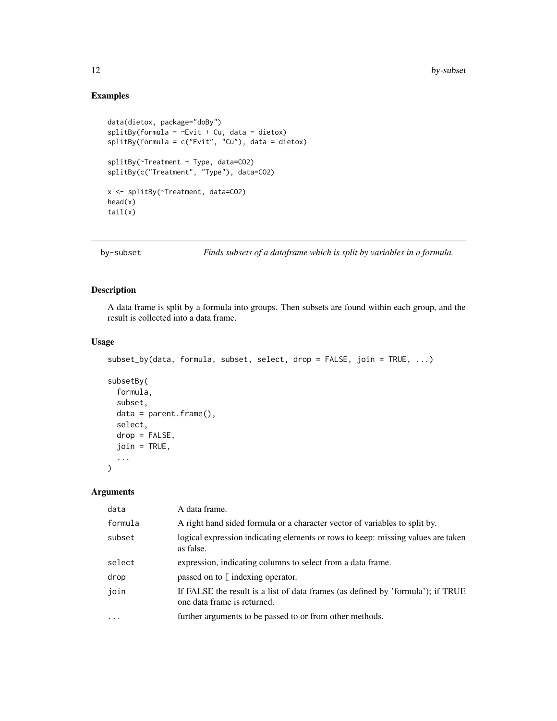# Examples

```
data(dietox, package="doBy")
splitBy(formula = ~&&&&&&&&&&&&&&&\text{C}splitBy(formula = c("Evit", "Cu"), data = dietox)
splitBy(~Treatment + Type, data=CO2)
splitBy(c("Treatment", "Type"), data=CO2)
x <- splitBy(~Treatment, data=CO2)
head(x)
tail(x)
```
by-subset *Finds subsets of a dataframe which is split by variables in a formula.*

# Description

A data frame is split by a formula into groups. Then subsets are found within each group, and the result is collected into a data frame.

# Usage

```
subset_by(data, formula, subset, select, drop = FALSE, join = TRUE, ...)
subsetBy(
 formula,
  subset,
 data = parent.frame(),select,
 drop = FALSE,
  join = TRUE,
  ...
)
```
# Arguments

| A right hand sided formula or a character vector of variables to split by.       |
|----------------------------------------------------------------------------------|
| logical expression indicating elements or rows to keep: missing values are taken |
|                                                                                  |
|                                                                                  |
| If FALSE the result is a list of data frames (as defined by 'formula'); if TRUE  |
|                                                                                  |
|                                                                                  |

<span id="page-11-0"></span>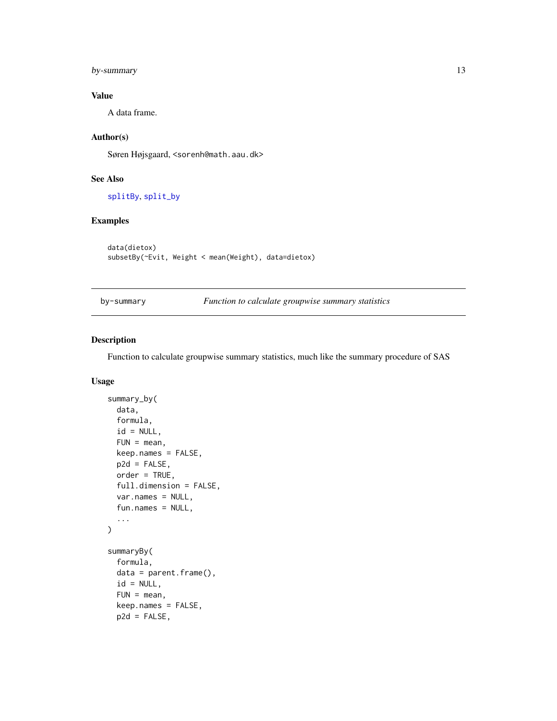# <span id="page-12-0"></span>by-summary 13

# Value

A data frame.

# Author(s)

Søren Højsgaard, <sorenh@math.aau.dk>

# See Also

[splitBy](#page-10-1), [split\\_by](#page-10-1)

# Examples

data(dietox) subsetBy(~Evit, Weight < mean(Weight), data=dietox)

by-summary *Function to calculate groupwise summary statistics*

# <span id="page-12-1"></span>Description

Function to calculate groupwise summary statistics, much like the summary procedure of SAS

# Usage

```
summary_by(
 data,
  formula,
  id = NULL,FUN = mean,
 keep.names = FALSE,
 p2d = FALSE,order = TRUE,
 full.dimension = FALSE,
 var.names = NULL,
 fun.names = NULL,
  ...
)
summaryBy(
 formula,
 data = parent.frame(),
  id = NULL,FUN = mean,keep.names = FALSE,
 p2d = FALSE,
```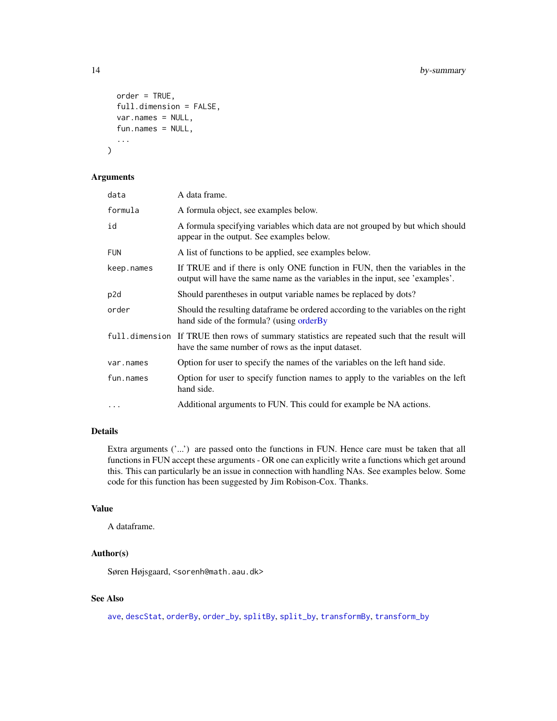```
order = TRUE,
  full.dimension = FALSE,
 var.names = NULL,
  fun.names = NULL,
  ...
)
```
#### Arguments

| data       | A data frame.                                                                                                                                                |
|------------|--------------------------------------------------------------------------------------------------------------------------------------------------------------|
| formula    | A formula object, see examples below.                                                                                                                        |
| id         | A formula specifying variables which data are not grouped by but which should<br>appear in the output. See examples below.                                   |
| <b>FUN</b> | A list of functions to be applied, see examples below.                                                                                                       |
| keep.names | If TRUE and if there is only ONE function in FUN, then the variables in the<br>output will have the same name as the variables in the input, see 'examples'. |
| p2d        | Should parentheses in output variable names be replaced by dots?                                                                                             |
| order      | Should the resulting dataframe be ordered according to the variables on the right<br>hand side of the formula? (using orderBy                                |
|            | full dimension If TRUE then rows of summary statistics are repeated such that the result will<br>have the same number of rows as the input dataset.          |
| var.names  | Option for user to specify the names of the variables on the left hand side.                                                                                 |
| fun.names  | Option for user to specify function names to apply to the variables on the left<br>hand side.                                                                |
| $\cdots$   | Additional arguments to FUN. This could for example be NA actions.                                                                                           |

# Details

Extra arguments ('...') are passed onto the functions in FUN. Hence care must be taken that all functions in FUN accept these arguments - OR one can explicitly write a functions which get around this. This can particularly be an issue in connection with handling NAs. See examples below. Some code for this function has been suggested by Jim Robison-Cox. Thanks.

# Value

A dataframe.

# Author(s)

Søren Højsgaard, <sorenh@math.aau.dk>

#### See Also

[ave](#page-0-0), [descStat](#page-22-1), [orderBy](#page-8-1), [order\\_by](#page-8-1), [splitBy](#page-10-1), [split\\_by](#page-10-1), [transformBy](#page-14-1), [transform\\_by](#page-14-1)

<span id="page-13-0"></span>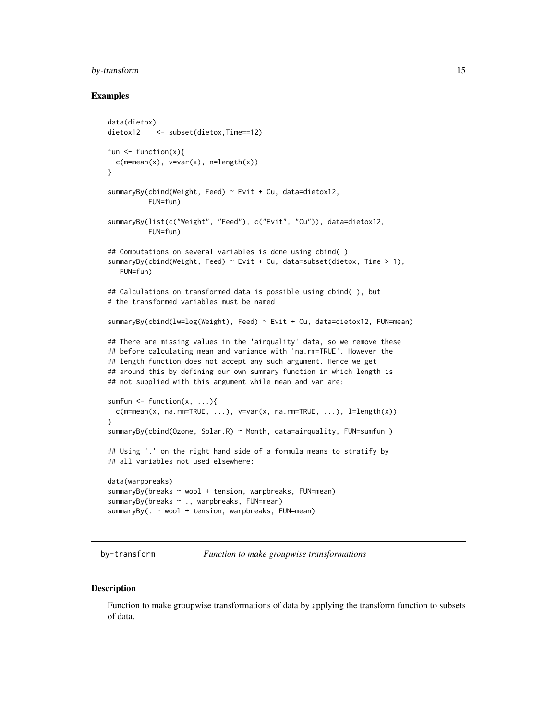# <span id="page-14-0"></span>by-transform 15

#### Examples

```
data(dietox)
dietox12 <- subset(dietox, Time==12)
fun \leq function(x){
 c(m=mean(x), v=var(x), n=length(x))}
summaryBy(cbind(Weight, Feed) ~ Evit + Cu, data=dietox12,
          FUN=fun)
summaryBy(list(c("Weight", "Feed"), c("Evit", "Cu")), data=dietox12,
          FUN=fun)
## Computations on several variables is done using cbind( )
summaryBy(cbind(Weight, Feed) \sim Evit + Cu, data=subset(dietox, Time > 1),
  FUN=fun)
## Calculations on transformed data is possible using cbind(), but
# the transformed variables must be named
summaryBy(cbind(lw=log(Weight), Feed) ~ Evit + Cu, data=dietox12, FUN=mean)
## There are missing values in the 'airquality' data, so we remove these
## before calculating mean and variance with 'na.rm=TRUE'. However the
## length function does not accept any such argument. Hence we get
## around this by defining our own summary function in which length is
## not supplied with this argument while mean and var are:
sumfun \leq function(x, ...){
 c(m=mean(x, na.rm=TRUE, ...), v=var(x, na.rm=TRUE, ...), l=length(x))}
summaryBy(cbind(Ozone, Solar.R) ~ Month, data=airquality, FUN=sumfun )
## Using '.' on the right hand side of a formula means to stratify by
## all variables not used elsewhere:
data(warpbreaks)
summaryBy(breaks ~ wool + tension, warpbreaks, FUN=mean)
summaryBy(breaks ~ ., warpbreaks, FUN=mean)
summaryBy(. ~ wool + tension, warpbreaks, FUN=mean)
```
by-transform *Function to make groupwise transformations*

#### <span id="page-14-1"></span>**Description**

Function to make groupwise transformations of data by applying the transform function to subsets of data.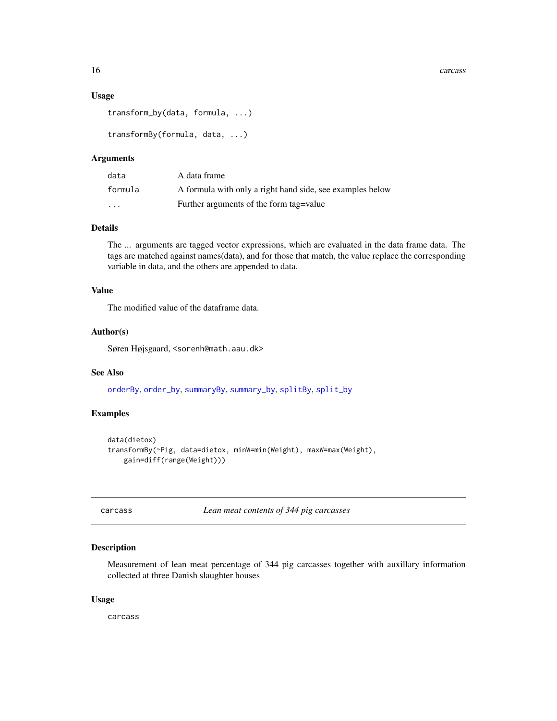#### <span id="page-15-0"></span>Usage

```
transform_by(data, formula, ...)
```

```
transformBy(formula, data, ...)
```
#### Arguments

| data                    | A data frame                                              |
|-------------------------|-----------------------------------------------------------|
| formula                 | A formula with only a right hand side, see examples below |
| $\cdot$ $\cdot$ $\cdot$ | Further arguments of the form tag=value                   |

#### Details

The ... arguments are tagged vector expressions, which are evaluated in the data frame data. The tags are matched against names(data), and for those that match, the value replace the corresponding variable in data, and the others are appended to data.

# Value

The modified value of the dataframe data.

#### Author(s)

Søren Højsgaard, <sorenh@math.aau.dk>

#### See Also

[orderBy](#page-8-1), [order\\_by](#page-8-1), [summaryBy](#page-12-1), [summary\\_by](#page-12-1), [splitBy](#page-10-1), [split\\_by](#page-10-1)

#### Examples

```
data(dietox)
transformBy(~Pig, data=dietox, minW=min(Weight), maxW=max(Weight),
   gain=diff(range(Weight)))
```
carcass *Lean meat contents of 344 pig carcasses*

# Description

Measurement of lean meat percentage of 344 pig carcasses together with auxillary information collected at three Danish slaughter houses

#### Usage

carcass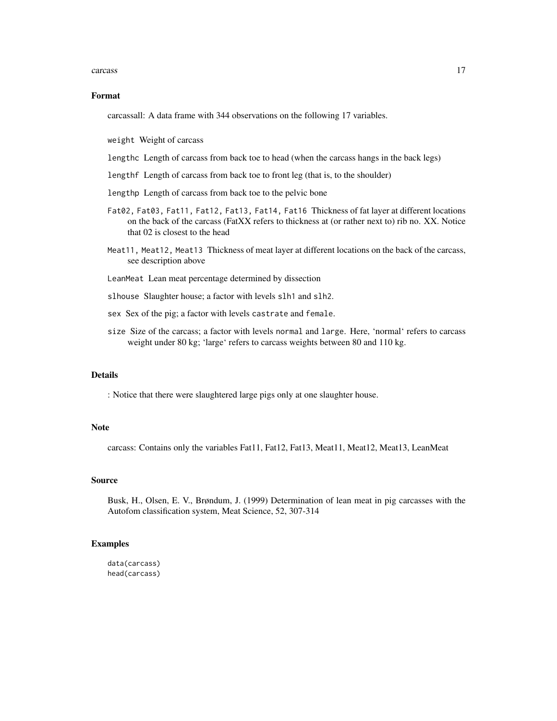#### carcass and the contract of the contract of the contract of the contract of the contract of the contract of the contract of the contract of the contract of the contract of the contract of the contract of the contract of th

#### Format

carcassall: A data frame with 344 observations on the following 17 variables.

weight Weight of carcass

- lengthc Length of carcass from back toe to head (when the carcass hangs in the back legs)
- lengthf Length of carcass from back toe to front leg (that is, to the shoulder)
- lengthp Length of carcass from back toe to the pelvic bone
- Fat02, Fat03, Fat11, Fat12, Fat13, Fat14, Fat16 Thickness of fat layer at different locations on the back of the carcass (FatXX refers to thickness at (or rather next to) rib no. XX. Notice that 02 is closest to the head
- Meat11, Meat12, Meat13 Thickness of meat layer at different locations on the back of the carcass, see description above
- LeanMeat Lean meat percentage determined by dissection
- slhouse Slaughter house; a factor with levels slh1 and slh2.
- sex Sex of the pig; a factor with levels castrate and female.
- size Size of the carcass; a factor with levels normal and large. Here, 'normal' refers to carcass weight under 80 kg; 'large' refers to carcass weights between 80 and 110 kg.

#### Details

: Notice that there were slaughtered large pigs only at one slaughter house.

#### Note

carcass: Contains only the variables Fat11, Fat12, Fat13, Meat11, Meat12, Meat13, LeanMeat

#### Source

Busk, H., Olsen, E. V., Brøndum, J. (1999) Determination of lean meat in pig carcasses with the Autofom classification system, Meat Science, 52, 307-314

#### Examples

data(carcass) head(carcass)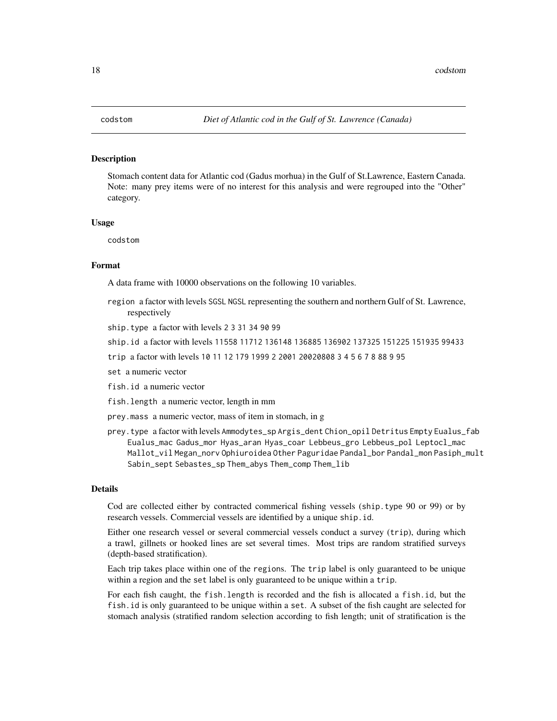<span id="page-17-0"></span>Stomach content data for Atlantic cod (Gadus morhua) in the Gulf of St.Lawrence, Eastern Canada. Note: many prey items were of no interest for this analysis and were regrouped into the "Other" category.

#### Usage

codstom

# Format

A data frame with 10000 observations on the following 10 variables.

- region a factor with levels SGSL NGSL representing the southern and northern Gulf of St. Lawrence, respectively
- ship.type a factor with levels 2 3 31 34 90 99
- ship.id a factor with levels 11558 11712 136148 136885 136902 137325 151225 151935 99433
- trip a factor with levels 10 11 12 179 1999 2 2001 20020808 3 4 5 6 7 8 88 9 95
- set a numeric vector
- fish.id a numeric vector
- fish.length a numeric vector, length in mm
- prey.mass a numeric vector, mass of item in stomach, in g
- prey.type a factor with levels Ammodytes\_sp Argis\_dent Chion\_opil Detritus Empty Eualus\_fab Eualus\_mac Gadus\_mor Hyas\_aran Hyas\_coar Lebbeus\_gro Lebbeus\_pol Leptocl\_mac Mallot\_vil Megan\_norv Ophiuroidea Other Paguridae Pandal\_bor Pandal\_mon Pasiph\_mult Sabin\_sept Sebastes\_sp Them\_abys Them\_comp Them\_lib

#### Details

Cod are collected either by contracted commerical fishing vessels (ship.type 90 or 99) or by research vessels. Commercial vessels are identified by a unique ship.id.

Either one research vessel or several commercial vessels conduct a survey (trip), during which a trawl, gillnets or hooked lines are set several times. Most trips are random stratified surveys (depth-based stratification).

Each trip takes place within one of the regions. The trip label is only guaranteed to be unique within a region and the set label is only guaranteed to be unique within a trip.

For each fish caught, the fish.length is recorded and the fish is allocated a fish.id, but the fish.id is only guaranteed to be unique within a set. A subset of the fish caught are selected for stomach analysis (stratified random selection according to fish length; unit of stratification is the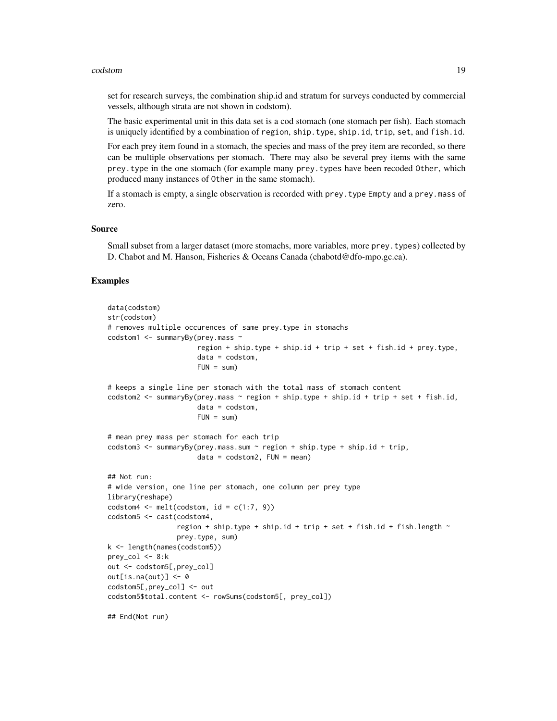#### codstom and the control of the control of the control of the control of the control of the control of the control of the control of the control of the control of the control of the control of the control of the control of

set for research surveys, the combination ship.id and stratum for surveys conducted by commercial vessels, although strata are not shown in codstom).

The basic experimental unit in this data set is a cod stomach (one stomach per fish). Each stomach is uniquely identified by a combination of region, ship.type, ship.id, trip, set, and fish.id.

For each prey item found in a stomach, the species and mass of the prey item are recorded, so there can be multiple observations per stomach. There may also be several prey items with the same prey.type in the one stomach (for example many prey.types have been recoded Other, which produced many instances of Other in the same stomach).

If a stomach is empty, a single observation is recorded with prey.type Empty and a prey.mass of zero.

#### Source

Small subset from a larger dataset (more stomachs, more variables, more prey.types) collected by D. Chabot and M. Hanson, Fisheries & Oceans Canada (chabotd@dfo-mpo.gc.ca).

```
data(codstom)
str(codstom)
# removes multiple occurences of same prey.type in stomachs
codstom1 <- summaryBy(prey.mass ~
                      region + ship.type + ship.id + trip + set + fish.id + prey.type,
                      data = codstrom,FUN = sum)
# keeps a single line per stomach with the total mass of stomach content
codstom2 <- summaryBy(prey.mass \sim region + ship.type + ship.id + trip + set + fish.id,
                      data = codstom,FUN = sum)
# mean prey mass per stomach for each trip
codstom3 \le summaryBy(prey.mass.sum \sim region + ship.type + ship.id + trip,
                      data = codstom2, FUN = mean)## Not run:
# wide version, one line per stomach, one column per prey type
library(reshape)
codstom4 \leq \text{melt}(\text{codstom}, id = c(1:7, 9))codstom5 <- cast(codstom4,
                 region + ship.type + ship.id + trip + set + fish.id + fish.length ~
                 prey.type, sum)
k <- length(names(codstom5))
prey_col \leftarrow 8:kout <- codstom5[,prey_col]
out[i s, na(out)] \leq 0codstom5[,prey_col] <- out
codstom5$total.content <- rowSums(codstom5[, prey_col])
## End(Not run)
```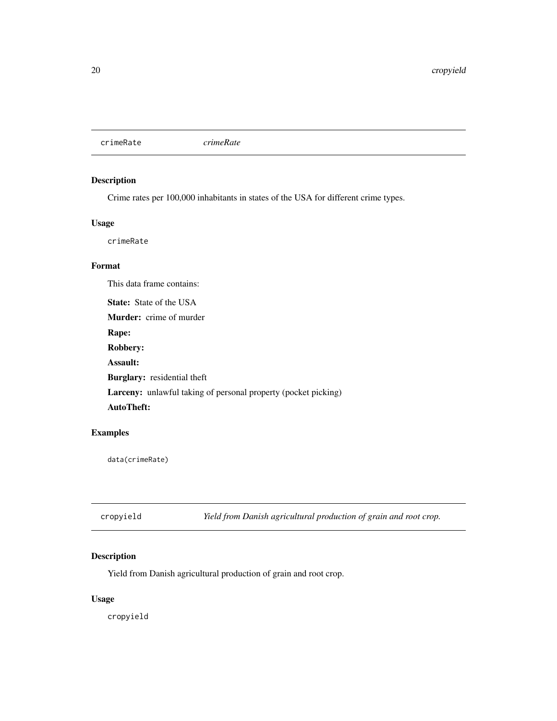<span id="page-19-0"></span>crimeRate *crimeRate*

# Description

Crime rates per 100,000 inhabitants in states of the USA for different crime types.

# Usage

crimeRate

# Format

This data frame contains:

State: State of the USA Murder: crime of murder Rape: Robbery: Assault: Burglary: residential theft Larceny: unlawful taking of personal property (pocket picking) AutoTheft:

# Examples

data(crimeRate)

| cropyield | Yield from Danish agricultural production of grain and root crop. |
|-----------|-------------------------------------------------------------------|
|           |                                                                   |

# Description

Yield from Danish agricultural production of grain and root crop.

# Usage

cropyield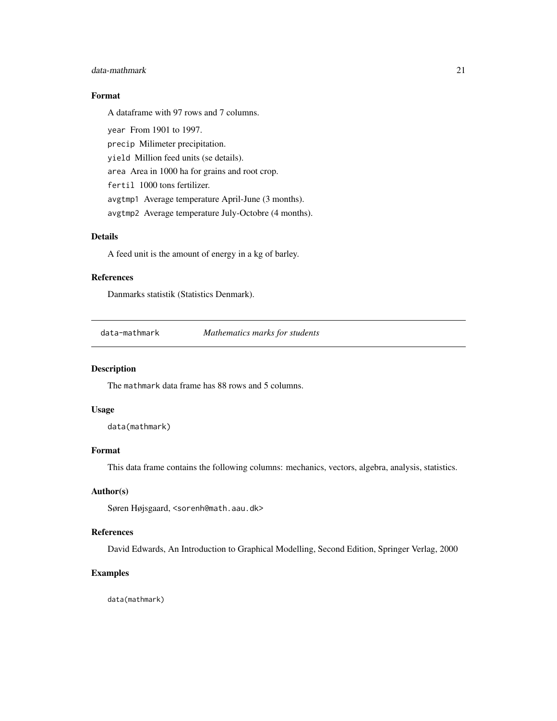#### <span id="page-20-0"></span>data-mathmark 21

# Format

A dataframe with 97 rows and 7 columns.

year From 1901 to 1997. precip Milimeter precipitation. yield Million feed units (se details). area Area in 1000 ha for grains and root crop. fertil 1000 tons fertilizer. avgtmp1 Average temperature April-June (3 months). avgtmp2 Average temperature July-Octobre (4 months).

# Details

A feed unit is the amount of energy in a kg of barley.

# References

Danmarks statistik (Statistics Denmark).

data-mathmark *Mathematics marks for students*

#### Description

The mathmark data frame has 88 rows and 5 columns.

# Usage

data(mathmark)

# Format

This data frame contains the following columns: mechanics, vectors, algebra, analysis, statistics.

# Author(s)

Søren Højsgaard, <sorenh@math.aau.dk>

# References

David Edwards, An Introduction to Graphical Modelling, Second Edition, Springer Verlag, 2000

#### Examples

data(mathmark)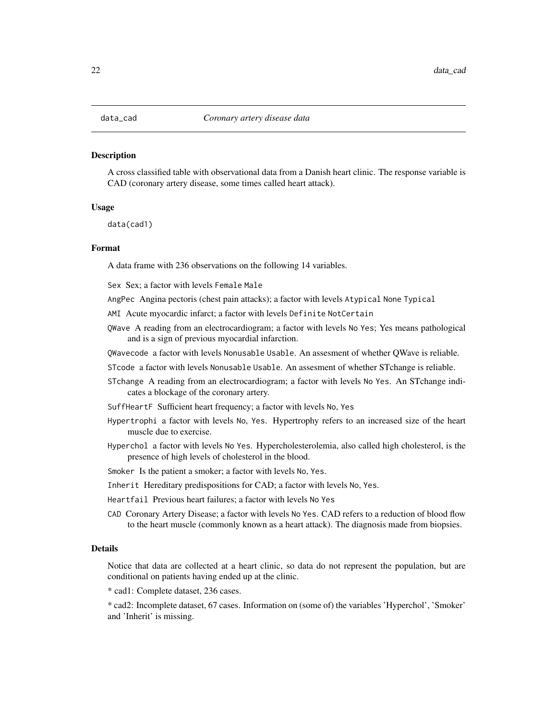<span id="page-21-0"></span>A cross classified table with observational data from a Danish heart clinic. The response variable is CAD (coronary artery disease, some times called heart attack).

#### Usage

data(cad1)

#### Format

A data frame with 236 observations on the following 14 variables.

Sex Sex; a factor with levels Female Male

AngPec Angina pectoris (chest pain attacks); a factor with levels Atypical None Typical

AMI Acute myocardic infarct; a factor with levels Definite NotCertain

- QWave A reading from an electrocardiogram; a factor with levels No Yes; Yes means pathological and is a sign of previous myocardial infarction.
- QWavecode a factor with levels Nonusable Usable. An assesment of whether QWave is reliable.

STcode a factor with levels Nonusable Usable. An assesment of whether STchange is reliable.

- STchange A reading from an electrocardiogram; a factor with levels No Yes. An STchange indicates a blockage of the coronary artery.
- SuffHeartF Sufficient heart frequency; a factor with levels No, Yes
- Hypertrophi a factor with levels No, Yes. Hypertrophy refers to an increased size of the heart muscle due to exercise.
- Hyperchol a factor with levels No Yes. Hypercholesterolemia, also called high cholesterol, is the presence of high levels of cholesterol in the blood.
- Smoker Is the patient a smoker; a factor with levels No, Yes.
- Inherit Hereditary predispositions for CAD; a factor with levels No, Yes.
- Heartfail Previous heart failures; a factor with levels No Yes
- CAD Coronary Artery Disease; a factor with levels No Yes. CAD refers to a reduction of blood flow to the heart muscle (commonly known as a heart attack). The diagnosis made from biopsies.

#### Details

Notice that data are collected at a heart clinic, so data do not represent the population, but are conditional on patients having ended up at the clinic.

\* cad1: Complete dataset, 236 cases.

\* cad2: Incomplete dataset, 67 cases. Information on (some of) the variables 'Hyperchol', 'Smoker' and 'Inherit' is missing.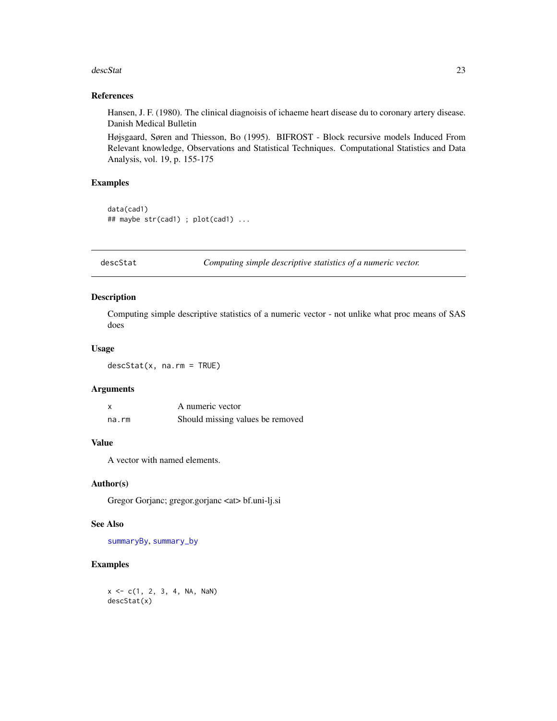#### <span id="page-22-0"></span>descStat 23

# References

Hansen, J. F. (1980). The clinical diagnoisis of ichaeme heart disease du to coronary artery disease. Danish Medical Bulletin

Højsgaard, Søren and Thiesson, Bo (1995). BIFROST - Block recursive models Induced From Relevant knowledge, Observations and Statistical Techniques. Computational Statistics and Data Analysis, vol. 19, p. 155-175

#### Examples

```
data(cad1)
## maybe str(cad1) ; plot(cad1) ...
```
<span id="page-22-1"></span>descStat *Computing simple descriptive statistics of a numeric vector.*

# Description

Computing simple descriptive statistics of a numeric vector - not unlike what proc means of SAS does

#### Usage

 $descStat(x, na.rm = TRUE)$ 

#### Arguments

|       | A numeric vector                 |
|-------|----------------------------------|
| na.rm | Should missing values be removed |

# Value

A vector with named elements.

#### Author(s)

Gregor Gorjanc; gregor.gorjanc <at> bf.uni-lj.si

#### See Also

[summaryBy](#page-12-1), [summary\\_by](#page-12-1)

#### Examples

 $x \leq -c(1, 2, 3, 4, NA, Nan)$ descStat(x)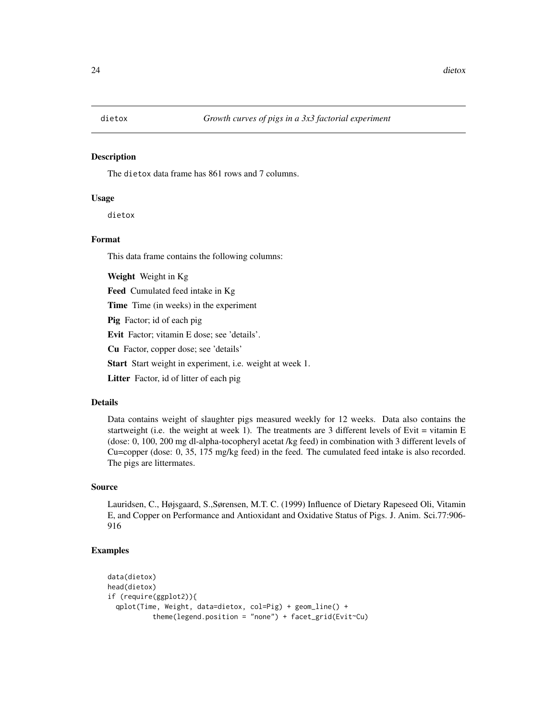<span id="page-23-0"></span>The dietox data frame has 861 rows and 7 columns.

#### Usage

dietox

### Format

This data frame contains the following columns:

Weight Weight in Kg

Feed Cumulated feed intake in Kg

Time Time (in weeks) in the experiment

Pig Factor; id of each pig

Evit Factor; vitamin E dose; see 'details'.

Cu Factor, copper dose; see 'details'

Start Start weight in experiment, i.e. weight at week 1.

Litter Factor, id of litter of each pig

# Details

Data contains weight of slaughter pigs measured weekly for 12 weeks. Data also contains the startweight (i.e. the weight at week 1). The treatments are 3 different levels of Evit = vitamin E (dose: 0, 100, 200 mg dl-alpha-tocopheryl acetat /kg feed) in combination with 3 different levels of Cu=copper (dose: 0, 35, 175 mg/kg feed) in the feed. The cumulated feed intake is also recorded. The pigs are littermates.

## Source

Lauridsen, C., Højsgaard, S.,Sørensen, M.T. C. (1999) Influence of Dietary Rapeseed Oli, Vitamin E, and Copper on Performance and Antioxidant and Oxidative Status of Pigs. J. Anim. Sci.77:906- 916

```
data(dietox)
head(dietox)
if (require(ggplot2)){
 qplot(Time, Weight, data=dietox, col=Pig) + geom_line() +
          theme(legend.position = "none") + facet_grid(Evit~Cu)
```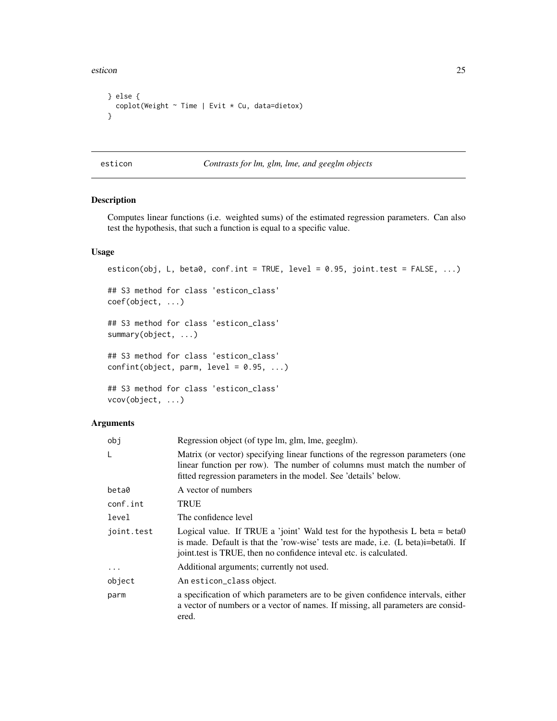<span id="page-24-0"></span>esticon and 25

```
} else {
  coplot(Weight ~ Time | Evit * Cu, data=dietox)
}
```
esticon *Contrasts for lm, glm, lme, and geeglm objects*

# Description

Computes linear functions (i.e. weighted sums) of the estimated regression parameters. Can also test the hypothesis, that such a function is equal to a specific value.

#### Usage

```
esticon(obj, L, beta0, conf.int = TRUE, level = 0.95, joint.test = FALSE, \ldots)
## S3 method for class 'esticon_class'
coef(object, ...)
## S3 method for class 'esticon_class'
summary(object, ...)
## S3 method for class 'esticon_class'
confint(object, parm, level = 0.95, ...)
## S3 method for class 'esticon_class'
vcov(object, ...)
```
#### Arguments

| obj        | Regression object (of type lm, glm, lme, geeglm).                                                                                                                                                                                         |
|------------|-------------------------------------------------------------------------------------------------------------------------------------------------------------------------------------------------------------------------------------------|
| L          | Matrix (or vector) specifying linear functions of the regresson parameters (one<br>linear function per row). The number of columns must match the number of<br>fitted regression parameters in the model. See 'details' below.            |
| beta0      | A vector of numbers                                                                                                                                                                                                                       |
| conf.int   | TRUE                                                                                                                                                                                                                                      |
| level      | The confidence level                                                                                                                                                                                                                      |
| joint.test | Logical value. If TRUE a 'joint' Wald test for the hypothesis $L$ beta = beta0<br>is made. Default is that the 'row-wise' tests are made, i.e. (L beta)i=beta0i. If<br>joint test is TRUE, then no confidence inteval etc. is calculated. |
| $\cdots$   | Additional arguments; currently not used.                                                                                                                                                                                                 |
| object     | An esticon_class object.                                                                                                                                                                                                                  |
| parm       | a specification of which parameters are to be given confidence intervals, either<br>a vector of numbers or a vector of names. If missing, all parameters are consid-<br>ered.                                                             |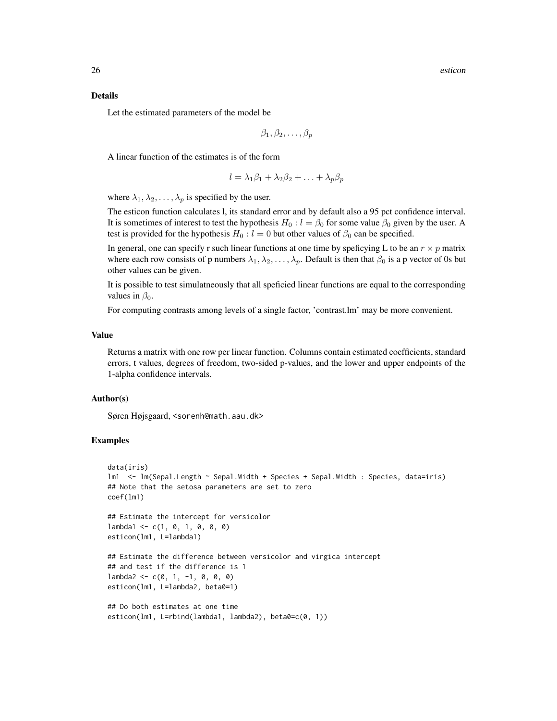#### Details

Let the estimated parameters of the model be

$$
\beta_1, \beta_2, \ldots, \beta_p
$$

A linear function of the estimates is of the form

$$
l = \lambda_1 \beta_1 + \lambda_2 \beta_2 + \ldots + \lambda_p \beta_p
$$

where  $\lambda_1, \lambda_2, \ldots, \lambda_p$  is specified by the user.

The esticon function calculates l, its standard error and by default also a 95 pct confidence interval. It is sometimes of interest to test the hypothesis  $H_0$ :  $l = \beta_0$  for some value  $\beta_0$  given by the user. A test is provided for the hypothesis  $H_0 : l = 0$  but other values of  $\beta_0$  can be specified.

In general, one can specify r such linear functions at one time by speficying L to be an  $r \times p$  matrix where each row consists of p numbers  $\lambda_1, \lambda_2, \ldots, \lambda_p$ . Default is then that  $\beta_0$  is a p vector of 0s but other values can be given.

It is possible to test simulatneously that all speficied linear functions are equal to the corresponding values in  $\beta_0$ .

For computing contrasts among levels of a single factor, 'contrast.lm' may be more convenient.

#### Value

Returns a matrix with one row per linear function. Columns contain estimated coefficients, standard errors, t values, degrees of freedom, two-sided p-values, and the lower and upper endpoints of the 1-alpha confidence intervals.

#### Author(s)

Søren Højsgaard, <sorenh@math.aau.dk>

```
data(iris)
lm1 <- lm(Sepal.Length ~ Sepal.Width + Species + Sepal.Width : Species, data=iris)
## Note that the setosa parameters are set to zero
coef(lm1)
## Estimate the intercept for versicolor
lambda1 < -c(1, 0, 1, 0, 0, 0)esticon(lm1, L=lambda1)
## Estimate the difference between versicolor and virgica intercept
## and test if the difference is 1
lambda2 < -c(0, 1, -1, 0, 0, 0)esticon(lm1, L=lambda2, beta0=1)
## Do both estimates at one time
esticon(lm1, L=rbind(lambda1, lambda2), beta0=c(0, 1))
```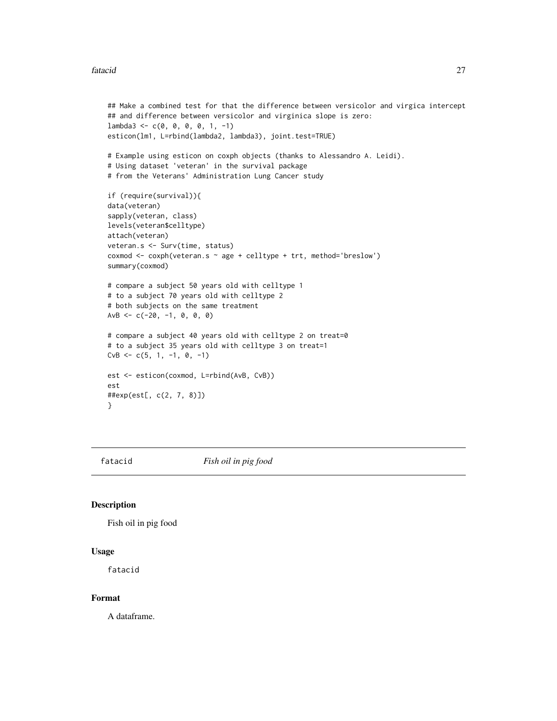#### <span id="page-26-0"></span>fatacid 27

```
## Make a combined test for that the difference between versicolor and virgica intercept
## and difference between versicolor and virginica slope is zero:
lambda3 \leq c(0, 0, 0, 0, 1, -1)esticon(lm1, L=rbind(lambda2, lambda3), joint.test=TRUE)
# Example using esticon on coxph objects (thanks to Alessandro A. Leidi).
# Using dataset 'veteran' in the survival package
# from the Veterans' Administration Lung Cancer study
if (require(survival)){
data(veteran)
sapply(veteran, class)
levels(veteran$celltype)
attach(veteran)
veteran.s <- Surv(time, status)
coxmod <- coxph(veteran.s ~ age + celltype + trt, method='breslow')
summary(coxmod)
# compare a subject 50 years old with celltype 1
# to a subject 70 years old with celltype 2
# both subjects on the same treatment
AvB <- c(-20, -1, 0, 0, 0)# compare a subject 40 years old with celltype 2 on treat=0
# to a subject 35 years old with celltype 3 on treat=1
CVB \leq -c(5, 1, -1, 0, -1)est <- esticon(coxmod, L=rbind(AvB, CvB))
est
##exp(est[, c(2, 7, 8)])
}
```
fatacid *Fish oil in pig food*

#### Description

Fish oil in pig food

#### Usage

fatacid

#### Format

A dataframe.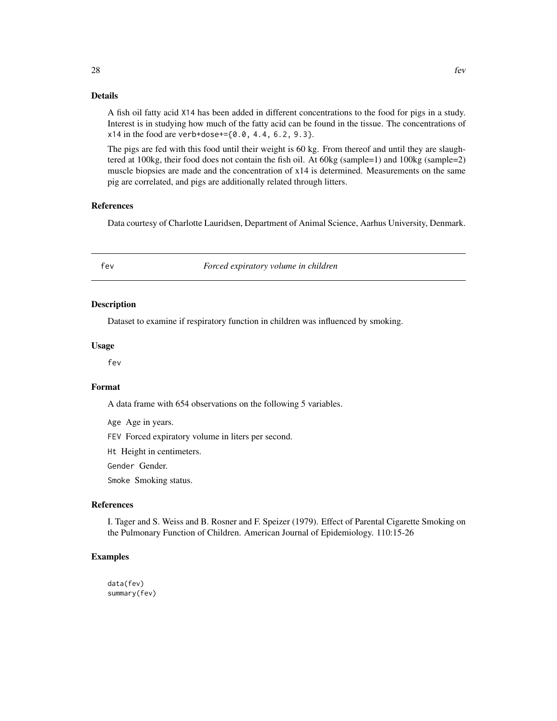<span id="page-27-0"></span>A fish oil fatty acid X14 has been added in different concentrations to the food for pigs in a study. Interest is in studying how much of the fatty acid can be found in the tissue. The concentrations of  $x14$  in the food are verb+dose+= $\{0.0, 4.4, 6.2, 9.3\}.$ 

The pigs are fed with this food until their weight is 60 kg. From thereof and until they are slaughtered at 100kg, their food does not contain the fish oil. At 60kg (sample=1) and 100kg (sample=2) muscle biopsies are made and the concentration of x14 is determined. Measurements on the same pig are correlated, and pigs are additionally related through litters.

#### References

Data courtesy of Charlotte Lauridsen, Department of Animal Science, Aarhus University, Denmark.

fev *Forced expiratory volume in children*

#### Description

Dataset to examine if respiratory function in children was influenced by smoking.

#### Usage

fev

#### Format

A data frame with 654 observations on the following 5 variables.

Age Age in years.

FEV Forced expiratory volume in liters per second.

Ht Height in centimeters.

Gender Gender.

Smoke Smoking status.

# References

I. Tager and S. Weiss and B. Rosner and F. Speizer (1979). Effect of Parental Cigarette Smoking on the Pulmonary Function of Children. American Journal of Epidemiology. 110:15-26

# Examples

data(fev) summary(fev)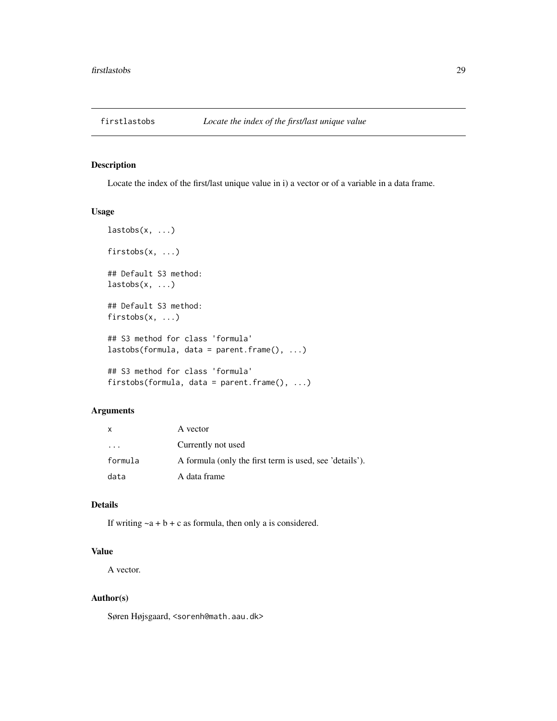<span id="page-28-0"></span>

Locate the index of the first/last unique value in i) a vector or of a variable in a data frame.

### Usage

```
lastobs(x, \ldots)firstobs(x, ...)
## Default S3 method:
lastobs(x, \ldots)## Default S3 method:
firstobs(x, ...)
## S3 method for class 'formula'
lastobs(formula, data = parent.frame(), ...)
## S3 method for class 'formula'
firstobs(formula, data = parent.frame(), ...)
```
# Arguments

|                         | A vector                                                |
|-------------------------|---------------------------------------------------------|
| $\cdot$ $\cdot$ $\cdot$ | Currently not used                                      |
| formula                 | A formula (only the first term is used, see 'details'). |
| data                    | A data frame                                            |

# Details

If writing  $-a + b + c$  as formula, then only a is considered.

# Value

A vector.

#### Author(s)

Søren Højsgaard, <sorenh@math.aau.dk>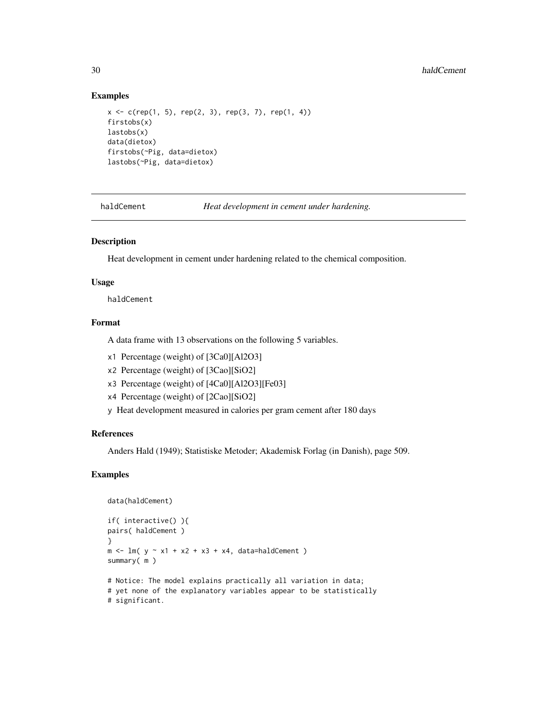#### Examples

```
x \leq c(rep(1, 5), rep(2, 3), rep(3, 7), rep(1, 4))
firstobs(x)
lastobs(x)
data(dietox)
firstobs(~Pig, data=dietox)
lastobs(~Pig, data=dietox)
```
haldCement *Heat development in cement under hardening.*

# Description

Heat development in cement under hardening related to the chemical composition.

#### Usage

haldCement

# Format

A data frame with 13 observations on the following 5 variables.

- x1 Percentage (weight) of [3Ca0][Al2O3]
- x2 Percentage (weight) of [3Cao][SiO2]
- x3 Percentage (weight) of [4Ca0][Al2O3][Fe03]
- x4 Percentage (weight) of [2Cao][SiO2]
- y Heat development measured in calories per gram cement after 180 days

#### References

Anders Hald (1949); Statistiske Metoder; Akademisk Forlag (in Danish), page 509.

```
data(haldCement)
if( interactive() ){
pairs( haldCement )
}
m \leftarrow \text{lm}(\text{y} \sim \text{x1} + \text{x2} + \text{x3} + \text{x4}, \text{data=haldCement})summary( m )
# Notice: The model explains practically all variation in data;
# yet none of the explanatory variables appear to be statistically
# significant.
```
<span id="page-29-0"></span>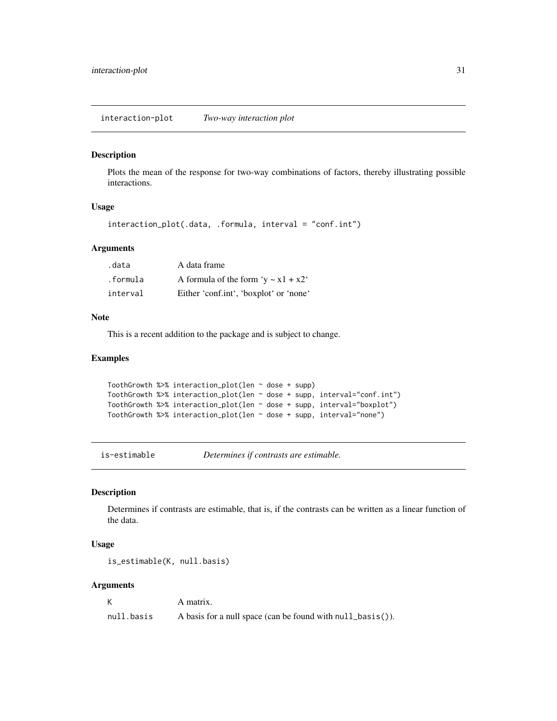<span id="page-30-0"></span>Plots the mean of the response for two-way combinations of factors, thereby illustrating possible interactions.

# Usage

interaction\_plot(.data, .formula, interval = "conf.int")

# Arguments

| .data    | A data frame                              |
|----------|-------------------------------------------|
| .formula | A formula of the form 'y $\sim x1 + x2$ ' |
| interval | Either 'conf.int', 'boxplot' or 'none'    |

# Note

This is a recent addition to the package and is subject to change.

#### Examples

```
ToothGrowth %>% interaction_plot(len ~ dose + supp)
ToothGrowth %>% interaction_plot(len ~ dose + supp, interval="conf.int")
ToothGrowth %>% interaction_plot(len ~ dose + supp, interval="boxplot")
ToothGrowth %>% interaction_plot(len ~ dose + supp, interval="none")
```
is-estimable *Determines if contrasts are estimable.*

# Description

Determines if contrasts are estimable, that is, if the contrasts can be written as a linear function of the data.

## Usage

```
is_estimable(K, null.basis)
```
# Arguments

|            | A matrix.                                                  |
|------------|------------------------------------------------------------|
| null.basis | A basis for a null space (can be found with null_basis()). |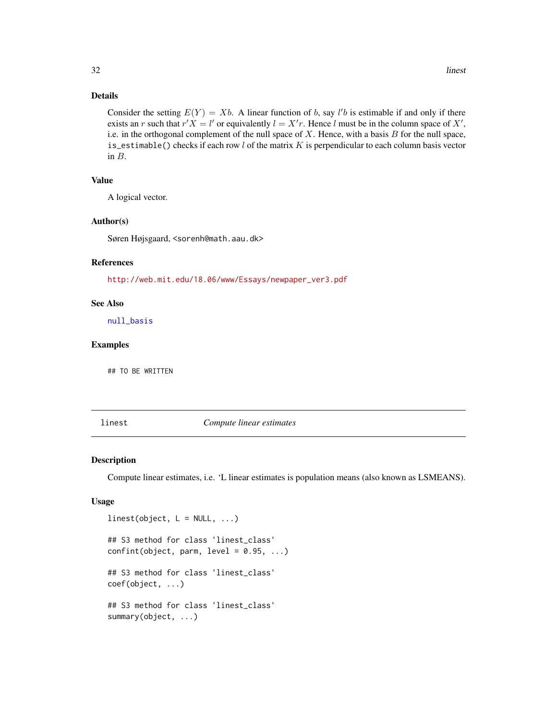# Details

Consider the setting  $E(Y) = Xb$ . A linear function of b, say l'b is estimable if and only if there exists an r such that  $r'X = l'$  or equivalently  $l = X'r$ . Hence l must be in the column space of X', i.e. in the orthogonal complement of the null space of  $X$ . Hence, with a basis  $B$  for the null space, is\_estimable() checks if each row  $l$  of the matrix  $K$  is perpendicular to each column basis vector in B.

# Value

A logical vector.

# Author(s)

Søren Højsgaard, <sorenh@math.aau.dk>

## References

[http://web.mit.edu/18.06/www/Essays/newpaper\\_ver3.pdf](http://web.mit.edu/18.06/www/Essays/newpaper_ver3.pdf)

#### See Also

[null\\_basis](#page-41-1)

# Examples

## TO BE WRITTEN

<span id="page-31-1"></span>

linest *Compute linear estimates*

#### Description

Compute linear estimates, i.e. 'L linear estimates is population means (also known as LSMEANS).

#### Usage

```
linest(object, L = NULL, ...)## S3 method for class 'linest_class'
confint(object, parm, level = 0.95, ...)## S3 method for class 'linest_class'
coef(object, ...)
## S3 method for class 'linest_class'
summary(object, ...)
```
<span id="page-31-0"></span>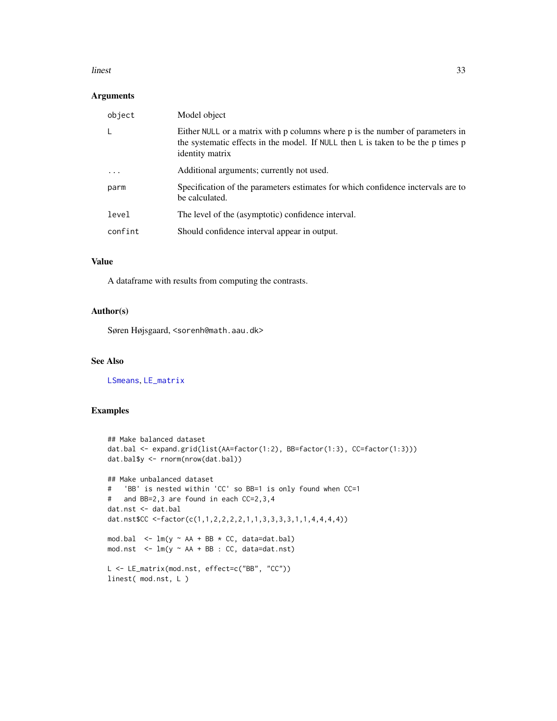#### <span id="page-32-0"></span>linest 33

# Arguments

| object   | Model object                                                                                                                                                                         |
|----------|--------------------------------------------------------------------------------------------------------------------------------------------------------------------------------------|
|          | Either NULL or a matrix with p columns where p is the number of parameters in<br>the systematic effects in the model. If NULL then L is taken to be the p times p<br>identity matrix |
| $\cdots$ | Additional arguments; currently not used.                                                                                                                                            |
| parm     | Specification of the parameters estimates for which confidence inctervals are to<br>be calculated.                                                                                   |
| level    | The level of the (asymptotic) confidence interval.                                                                                                                                   |
| confint  | Should confidence interval appear in output.                                                                                                                                         |

# Value

A dataframe with results from computing the contrasts.

# Author(s)

Søren Højsgaard, <sorenh@math.aau.dk>

# See Also

[LSmeans](#page-36-1), [LE\\_matrix](#page-34-1)

```
## Make balanced dataset
dat.bal <- expand.grid(list(AA=factor(1:2), BB=factor(1:3), CC=factor(1:3)))
dat.bal$y <- rnorm(nrow(dat.bal))
## Make unbalanced dataset
# 'BB' is nested within 'CC' so BB=1 is only found when CC=1
# and BB=2,3 are found in each CC=2,3,4
dat.nst <- dat.bal
dat.nst$CC <-factor(c(1,1,2,2,2,2,1,1,3,3,3,3,1,1,4,4,4,4))
mod.bal \leq lm(y \sim AA + BB \star CC, data=dat.bal)
mod.nst <- lm(y ~ AA + BB : CC, data=dat.nst)
L <- LE_matrix(mod.nst, effect=c("BB", "CC"))
linest( mod.nst, L )
```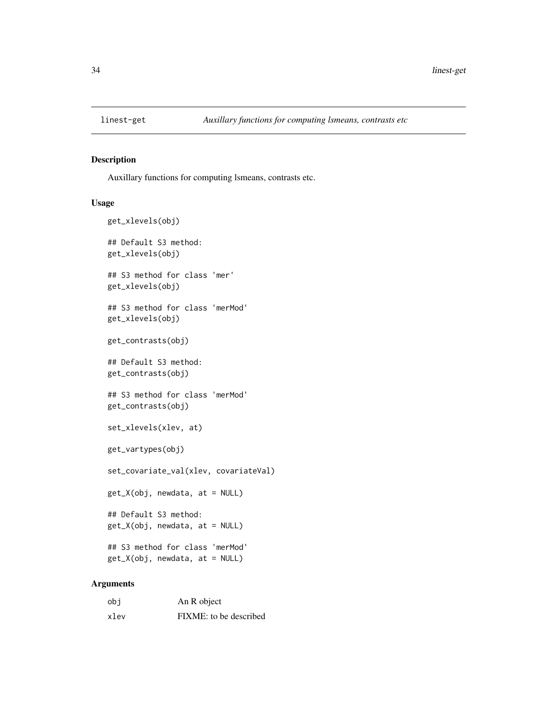<span id="page-33-0"></span>

Auxillary functions for computing lsmeans, contrasts etc.

#### Usage

```
get_xlevels(obj)
## Default S3 method:
get_xlevels(obj)
## S3 method for class 'mer'
get_xlevels(obj)
## S3 method for class 'merMod'
get_xlevels(obj)
get_contrasts(obj)
## Default S3 method:
get_contrasts(obj)
## S3 method for class 'merMod'
get_contrasts(obj)
set_xlevels(xlev, at)
get_vartypes(obj)
set_covariate_val(xlev, covariateVal)
get_X(obj, newdata, at = NULL)
## Default S3 method:
get_X(obj, newdata, at = NULL)
## S3 method for class 'merMod'
get_X(obj, newdata, at = NULL)
```
#### Arguments

| obi  | An R object            |
|------|------------------------|
| xlev | FIXME: to be described |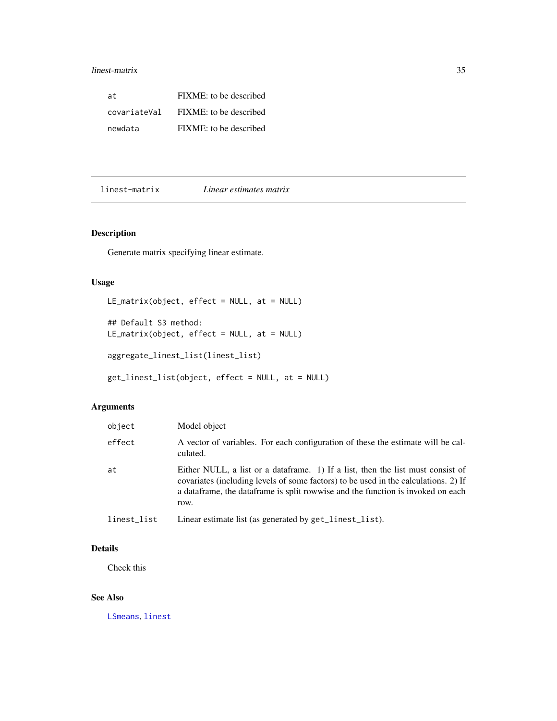# <span id="page-34-0"></span>linest-matrix 35

| at.          | FIXME: to be described |
|--------------|------------------------|
| covariateVal | FIXME: to be described |
| newdata      | FIXME: to be described |

linest-matrix *Linear estimates matrix*

# <span id="page-34-1"></span>Description

Generate matrix specifying linear estimate.

# Usage

```
LE_matrix(object, effect = NULL, at = NULL)
```

```
## Default S3 method:
LE_matrix(object, effect = NULL, at = NULL)
aggregate_linest_list(linest_list)
```

```
get_linest_list(object, effect = NULL, at = NULL)
```
# Arguments

| object      | Model object                                                                                                                                                                                                                                                         |
|-------------|----------------------------------------------------------------------------------------------------------------------------------------------------------------------------------------------------------------------------------------------------------------------|
| effect      | A vector of variables. For each configuration of these the estimate will be cal-<br>culated.                                                                                                                                                                         |
| at          | Either NULL, a list or a data frame. 1) If a list, then the list must consist of<br>covariates (including levels of some factors) to be used in the calculations. 2) If<br>a data frame, the data frame is split rowwise and the function is invoked on each<br>row. |
| linest_list | Linear estimate list (as generated by get_linest_list).                                                                                                                                                                                                              |

# Details

Check this

# See Also

[LSmeans](#page-36-1), [linest](#page-31-1)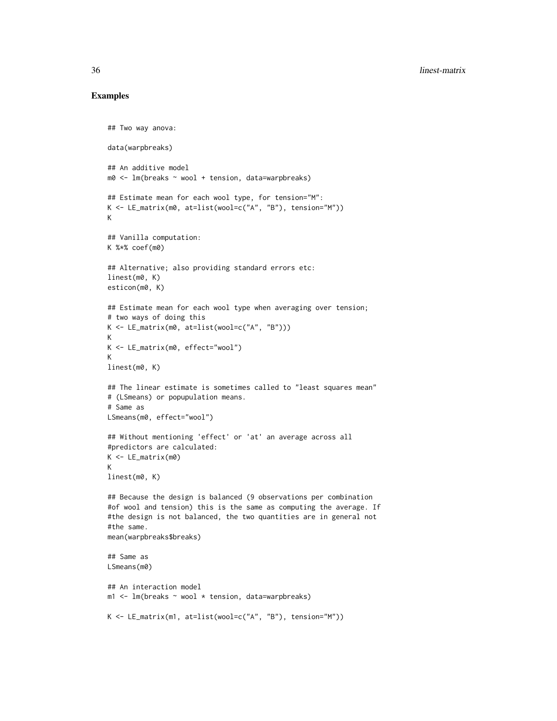```
## Two way anova:
data(warpbreaks)
## An additive model
m0 \leq -1m(breaks \sim wool + tension, data=warpbreaks)
## Estimate mean for each wool type, for tension="M":
K <- LE_matrix(m0, at=list(wool=c("A", "B"), tension="M"))
K
## Vanilla computation:
K %*% coef(m0)
## Alternative; also providing standard errors etc:
linest(m0, K)
esticon(m0, K)
## Estimate mean for each wool type when averaging over tension;
# two ways of doing this
K <- LE_matrix(m0, at=list(wool=c("A", "B")))
K
K <- LE_matrix(m0, effect="wool")
K
linest(m0, K)
## The linear estimate is sometimes called to "least squares mean"
# (LSmeans) or popupulation means.
# Same as
LSmeans(m0, effect="wool")
## Without mentioning 'effect' or 'at' an average across all
#predictors are calculated:
K <- LE_matrix(m0)
K
linest(m0, K)
## Because the design is balanced (9 observations per combination
#of wool and tension) this is the same as computing the average. If
#the design is not balanced, the two quantities are in general not
#the same.
mean(warpbreaks$breaks)
## Same as
LSmeans(m0)
## An interaction model
m1 <- lm(breaks \sim wool \star tension, data=warpbreaks)
K <- LE_matrix(m1, at=list(wool=c("A", "B"), tension="M"))
```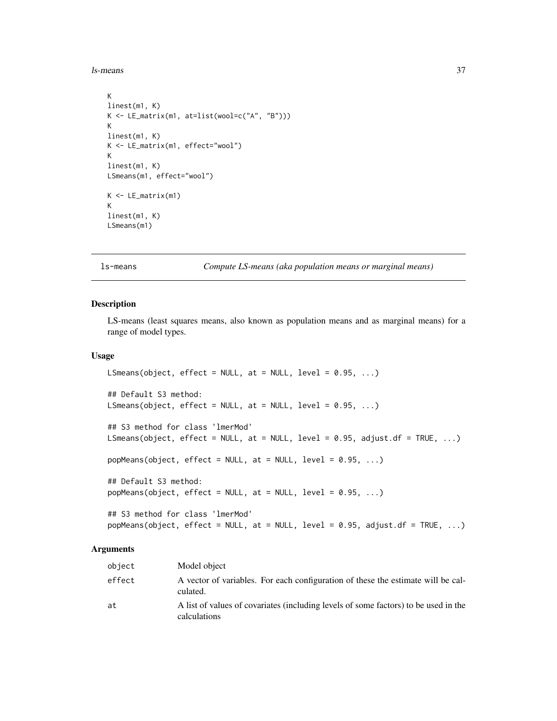<span id="page-36-0"></span>ls-means 37

```
K
linest(m1, K)
K <- LE_matrix(m1, at=list(wool=c("A", "B")))
K
linest(m1, K)
K <- LE_matrix(m1, effect="wool")
K
linest(m1, K)
LSmeans(m1, effect="wool")
K <- LE_matrix(m1)
K
linest(m1, K)
LSmeans(m1)
```
#### ls-means *Compute LS-means (aka population means or marginal means)*

#### <span id="page-36-1"></span>Description

LS-means (least squares means, also known as population means and as marginal means) for a range of model types.

# Usage

```
LSmeans(object, effect = NULL, at = NULL, level = 0.95, ...)
## Default S3 method:
LSmeans(object, effect = NULL, at = NULL, level = 0.95, ...)
## S3 method for class 'lmerMod'
LSmeans(object, effect = NULL, at = NULL, level = 0.95, adjust.df = TRUE, ...)
popMeans(object, effect = NULL, at = NULL, level = 0.95, ...)## Default S3 method:
popMeans(object, effect = NULL, at = NULL, level = 0.95, ...)## S3 method for class 'lmerMod'
popMeans(object, effect = NULL, at = NULL, level = 0.95, adjust.df = TRUE, ...)
```
#### Arguments

| object | Model object                                                                                        |
|--------|-----------------------------------------------------------------------------------------------------|
| effect | A vector of variables. For each configuration of these the estimate will be cal-<br>culated.        |
| at     | A list of values of covariates (including levels of some factors) to be used in the<br>calculations |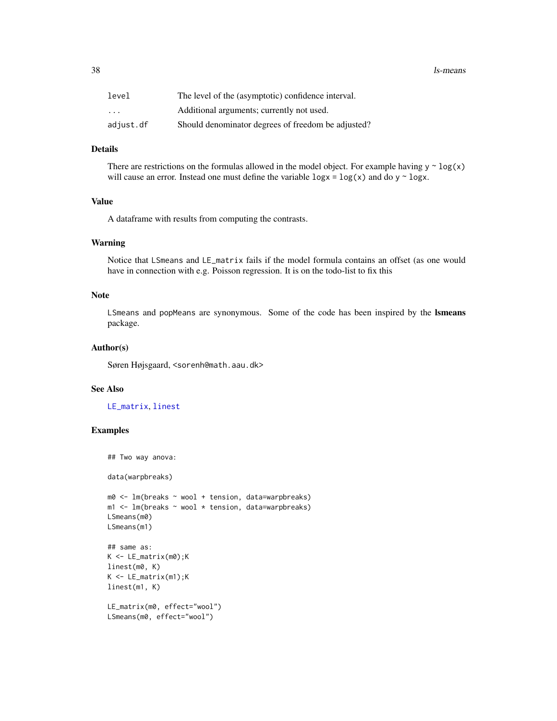<span id="page-37-0"></span>38 ls-means

| level     | The level of the (asymptotic) confidence interval. |  |
|-----------|----------------------------------------------------|--|
| $\cdot$   | Additional arguments; currently not used.          |  |
| adjust.df | Should denominator degrees of freedom be adjusted? |  |

# Details

There are restrictions on the formulas allowed in the model object. For example having  $y \sim \log(x)$ will cause an error. Instead one must define the variable  $\log x = \log(x)$  and do y  $\sim \log x$ .

#### Value

A dataframe with results from computing the contrasts.

#### Warning

Notice that LSmeans and LE\_matrix fails if the model formula contains an offset (as one would have in connection with e.g. Poisson regression. It is on the todo-list to fix this

# Note

LSmeans and popMeans are synonymous. Some of the code has been inspired by the lsmeans package.

#### Author(s)

Søren Højsgaard, <sorenh@math.aau.dk>

#### See Also

[LE\\_matrix](#page-34-1), [linest](#page-31-1)

```
## Two way anova:
data(warpbreaks)
m0 \leq -1m(breaks \sim wool + tension, data=warpbreaks)
m1 \leq -1m(breaks \sim wool \star tension, data=warpbreaks)
LSmeans(m0)
LSmeans(m1)
## same as:
K <- LE_matrix(m0);K
linest(m0, K)
K <- LE_matrix(m1);K
linest(m1, K)
LE_matrix(m0, effect="wool")
LSmeans(m0, effect="wool")
```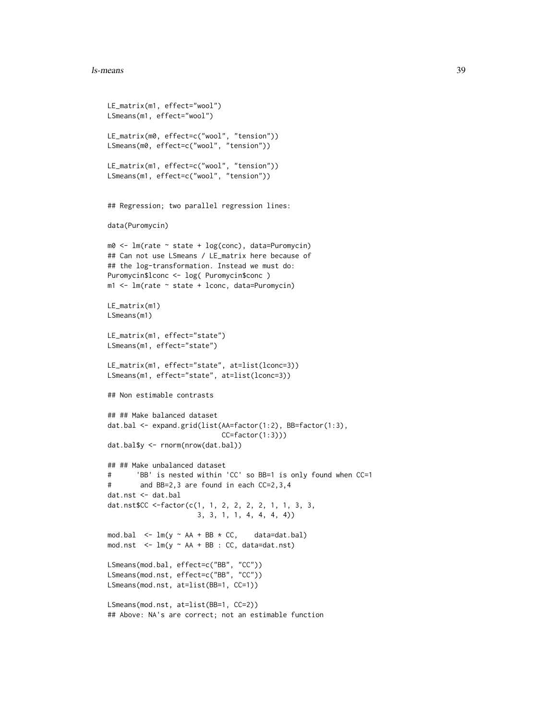#### ls-means 39

```
LE_matrix(m1, effect="wool")
LSmeans(m1, effect="wool")
LE_matrix(m0, effect=c("wool", "tension"))
LSmeans(m0, effect=c("wool", "tension"))
LE_matrix(m1, effect=c("wool", "tension"))
LSmeans(m1, effect=c("wool", "tension"))
## Regression; two parallel regression lines:
data(Puromycin)
m0 <- lm(rate ~ state + log(conc), data=Puromycin)
## Can not use LSmeans / LE_matrix here because of
## the log-transformation. Instead we must do:
Puromycin$lconc <- log( Puromycin$conc )
m1 <- lm(rate \sim state + locn, data=Puromycin)LE_matrix(m1)
LSmeans(m1)
LE_matrix(m1, effect="state")
LSmeans(m1, effect="state")
LE_matrix(m1, effect="state", at=list(lconc=3))
LSmeans(m1, effect="state", at=list(lconc=3))
## Non estimable contrasts
## ## Make balanced dataset
dat.bal <- expand.grid(list(AA=factor(1:2), BB=factor(1:3),
                            CC=factor(1:3)))
dat.bal$y <- rnorm(nrow(dat.bal))
## ## Make unbalanced dataset
# 'BB' is nested within 'CC' so BB=1 is only found when CC=1
# and BB=2,3 are found in each CC=2,3,4
dat.nst <- dat.bal
dat.nst$CC <-factor(c(1, 1, 2, 2, 2, 2, 1, 1, 3, 3,
                      3, 3, 1, 1, 4, 4, 4, 4))
mod.bal \leq - \ln(y \sim AA + BB \times CC, data=dat.bal)
mod.nst \leq \text{lm}(y \sim AA + BB : CC, data = dat.nst)LSmeans(mod.bal, effect=c("BB", "CC"))
LSmeans(mod.nst, effect=c("BB", "CC"))
LSmeans(mod.nst, at=list(BB=1, CC=1))
LSmeans(mod.nst, at=list(BB=1, CC=2))
## Above: NA's are correct; not an estimable function
```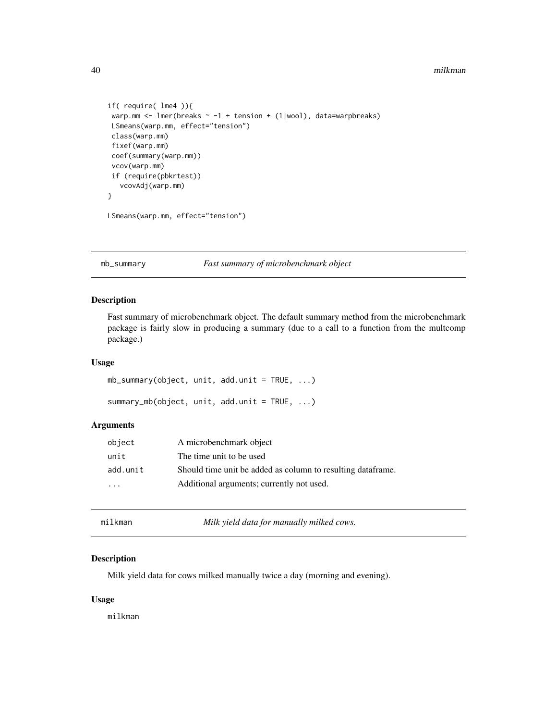#### 40 milkman

```
if( require( lme4 )){
warp.mm <- lmer(breaks ~ -1 + tension + (1|wool), data=warpbreaks)
LSmeans(warp.mm, effect="tension")
class(warp.mm)
fixef(warp.mm)
coef(summary(warp.mm))
vcov(warp.mm)
if (require(pbkrtest))
   vcovAdj(warp.mm)
}
LSmeans(warp.mm, effect="tension")
```
mb\_summary *Fast summary of microbenchmark object*

# Description

Fast summary of microbenchmark object. The default summary method from the microbenchmark package is fairly slow in producing a summary (due to a call to a function from the multcomp package.)

#### Usage

```
mb_summary(object, unit, add.unit = TRUE, ...)
summary_mb(object, unit, add.unit = TRUE, ...)
```
# Arguments

| object   | A microbenchmark object                                      |
|----------|--------------------------------------------------------------|
| unit     | The time unit to be used                                     |
| add.unit | Should time unit be added as column to resulting data frame. |
| .        | Additional arguments; currently not used.                    |
|          |                                                              |

milkman *Milk yield data for manually milked cows.*

# Description

Milk yield data for cows milked manually twice a day (morning and evening).

### Usage

milkman

<span id="page-39-0"></span>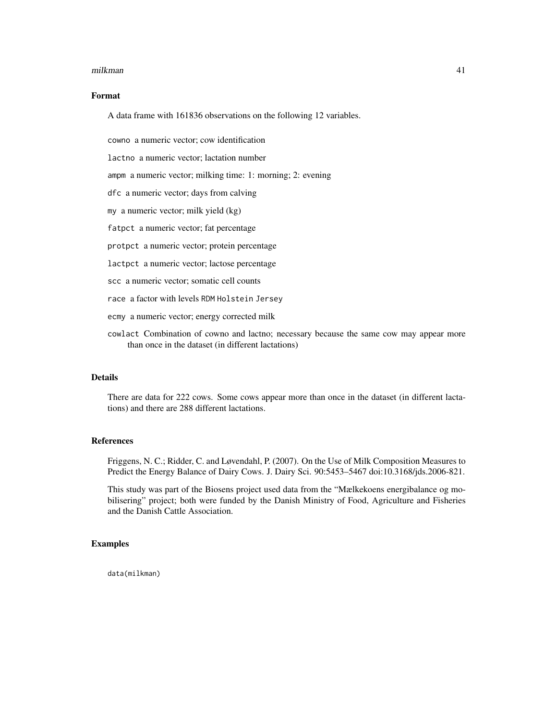#### milkman 41

# Format

A data frame with 161836 observations on the following 12 variables.

cowno a numeric vector; cow identification

lactno a numeric vector; lactation number

ampm a numeric vector; milking time: 1: morning; 2: evening

dfc a numeric vector; days from calving

my a numeric vector; milk yield (kg)

fatpct a numeric vector; fat percentage

protpct a numeric vector; protein percentage

lactpct a numeric vector; lactose percentage

scc a numeric vector; somatic cell counts

race a factor with levels RDM Holstein Jersey

ecmy a numeric vector; energy corrected milk

cowlact Combination of cowno and lactno; necessary because the same cow may appear more than once in the dataset (in different lactations)

#### Details

There are data for 222 cows. Some cows appear more than once in the dataset (in different lactations) and there are 288 different lactations.

# References

Friggens, N. C.; Ridder, C. and Løvendahl, P. (2007). On the Use of Milk Composition Measures to Predict the Energy Balance of Dairy Cows. J. Dairy Sci. 90:5453–5467 doi:10.3168/jds.2006-821.

This study was part of the Biosens project used data from the "Mælkekoens energibalance og mobilisering" project; both were funded by the Danish Ministry of Food, Agriculture and Fisheries and the Danish Cattle Association.

## Examples

data(milkman)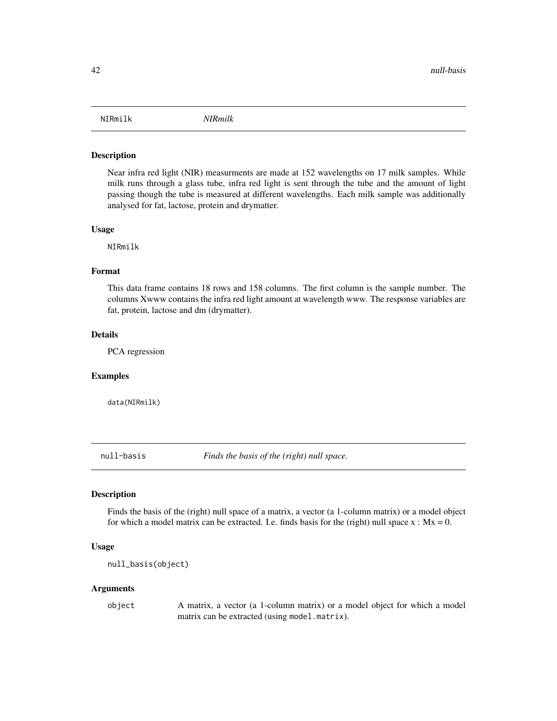<span id="page-41-0"></span>

Near infra red light (NIR) measurments are made at 152 wavelengths on 17 milk samples. While milk runs through a glass tube, infra red light is sent through the tube and the amount of light passing though the tube is measured at different wavelengths. Each milk sample was additionally analysed for fat, lactose, protein and drymatter.

#### Usage

NIRmilk

#### Format

This data frame contains 18 rows and 158 columns. The first column is the sample number. The columns Xwww contains the infra red light amount at wavelength www. The response variables are fat, protein, lactose and dm (drymatter).

#### Details

PCA regression

#### Examples

data(NIRmilk)

null-basis *Finds the basis of the (right) null space.*

#### <span id="page-41-1"></span>Description

Finds the basis of the (right) null space of a matrix, a vector (a 1-column matrix) or a model object for which a model matrix can be extracted. I.e. finds basis for the (right) null space  $x : Mx = 0$ .

# Usage

```
null_basis(object)
```
#### Arguments

object A matrix, a vector (a 1-column matrix) or a model object for which a model matrix can be extracted (using model.matrix).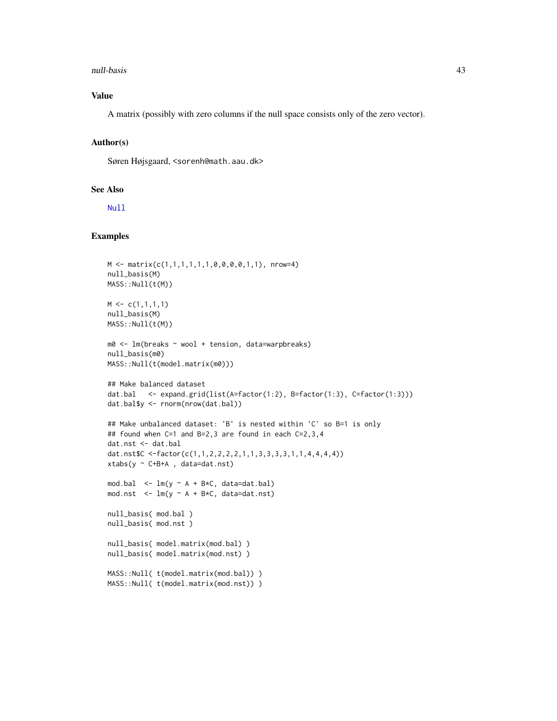#### <span id="page-42-0"></span>null-basis 43

# Value

A matrix (possibly with zero columns if the null space consists only of the zero vector).

# Author(s)

Søren Højsgaard, <sorenh@math.aau.dk>

## See Also

[Null](#page-0-0)

```
M \leftarrow \text{matrix}(c(1,1,1,1,1,1,0,0,0,0,1,1), nrow=4)null_basis(M)
MASS::Null(t(M))
M \leftarrow c(1,1,1,1)null_basis(M)
MASS::Null(t(M))
m0 <- lm(breaks ~ wool + tension, data=warpbreaks)
null_basis(m0)
MASS::Null(t(model.matrix(m0)))
## Make balanced dataset
dat.bal <- expand.grid(list(A=factor(1:2), B=factor(1:3), C=factor(1:3)))
dat.bal$y <- rnorm(nrow(dat.bal))
## Make unbalanced dataset: 'B' is nested within 'C' so B=1 is only
## found when C=1 and B=2,3 are found in each C=2,3,4
dat.nst <- dat.bal
dat.nst$C <-factor(c(1,1,2,2,2,2,1,1,3,3,3,3,1,1,4,4,4,4))
xtabs(y \sim C+B+A, data=dat.nst)
mod.bal \leq - \ln(y \sim A + B*C, data=dat.bal)mod.nst \leq - \ln(y \sim A + B*C, data = dat.nst)null_basis( mod.bal )
null_basis( mod.nst )
null_basis( model.matrix(mod.bal) )
null_basis( model.matrix(mod.nst) )
MASS::Null( t(model.matrix(mod.bal)) )
MASS::Null( t(model.matrix(mod.nst)) )
```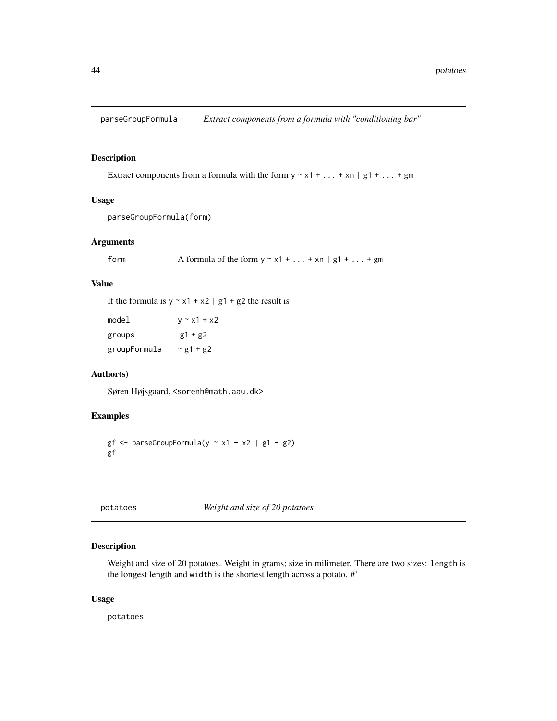<span id="page-43-0"></span>parseGroupFormula *Extract components from a formula with "conditioning bar"*

#### Description

Extract components from a formula with the form  $y \sim x1 + ... + xn \mid g1 + ... + gm$ 

# Usage

parseGroupFormula(form)

#### Arguments

form  $\blacksquare$  A formula of the form  $y \sim x1 + ... + xn \mid g1 + ... + gm$ 

#### Value

If the formula is  $y \sim x1 + x2$  | g1 + g2 the result is

| model        | $v \sim x1 + x2$  |
|--------------|-------------------|
| groups       | $g1 + g2$         |
| groupFormula | $\approx$ g1 + g2 |

# Author(s)

Søren Højsgaard, <sorenh@math.aau.dk>

# Examples

 $gf \leftarrow parseGroupFormula(y \sim x1 + x2 \mid g1 + g2)$ gf

# potatoes *Weight and size of 20 potatoes*

# Description

Weight and size of 20 potatoes. Weight in grams; size in milimeter. There are two sizes: length is the longest length and width is the shortest length across a potato. #'

#### Usage

potatoes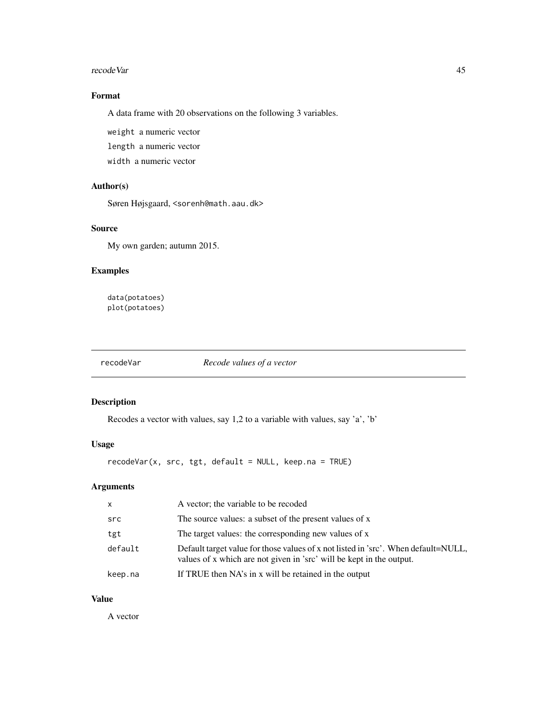#### <span id="page-44-0"></span>recode Var and the set of the set of the set of the set of the set of the set of the set of the set of the set of the set of the set of the set of the set of the set of the set of the set of the set of the set of the set o

# Format

A data frame with 20 observations on the following 3 variables.

weight a numeric vector

length a numeric vector

width a numeric vector

# Author(s)

Søren Højsgaard, <sorenh@math.aau.dk>

#### Source

My own garden; autumn 2015.

# Examples

data(potatoes) plot(potatoes)

<span id="page-44-1"></span>recodeVar *Recode values of a vector*

# Description

Recodes a vector with values, say 1,2 to a variable with values, say 'a', 'b'

# Usage

recodeVar(x, src, tgt, default = NULL, keep.na = TRUE)

# Arguments

| $\mathsf{X}$ | A vector; the variable to be recoded                                                                                                                       |
|--------------|------------------------------------------------------------------------------------------------------------------------------------------------------------|
| src          | The source values: a subset of the present values of x                                                                                                     |
| tgt          | The target values: the corresponding new values of x                                                                                                       |
| default      | Default target value for those values of x not listed in 'src'. When default=NULL,<br>values of x which are not given in 'src' will be kept in the output. |
| keep.na      | If TRUE then NA's in x will be retained in the output                                                                                                      |

# Value

A vector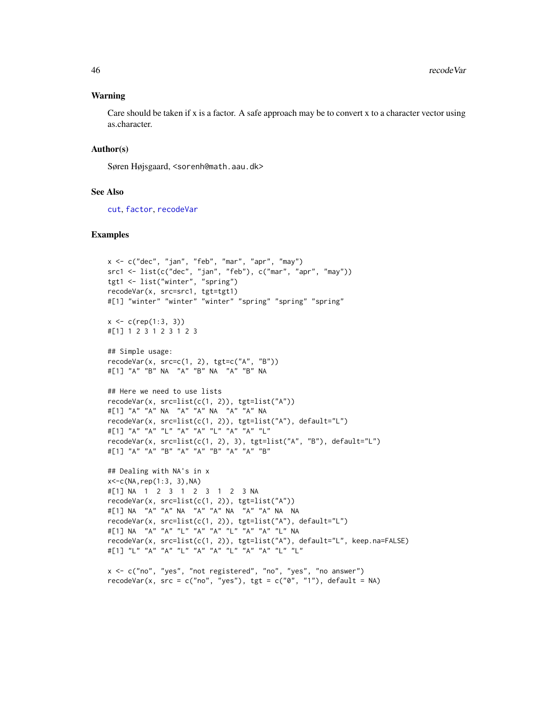#### <span id="page-45-0"></span>Warning

Care should be taken if x is a factor. A safe approach may be to convert x to a character vector using as.character.

# Author(s)

Søren Højsgaard, <sorenh@math.aau.dk>

#### See Also

[cut](#page-0-0), [factor](#page-0-0), [recodeVar](#page-44-1)

#### Examples

```
x \leq -c("dec", "jan", "feb", "mar", "apr", "may")src1 \leftarrow list(c("dec", "jan", "feb"), c("mar", "apr", "may"))tgt1 <- list("winter", "spring")
recodeVar(x, src=src1, tgt=tgt1)
#[1] "winter" "winter" "winter" "spring" "spring" "spring"
x \leq c(\text{rep}(1:3, 3))#[1] 1 2 3 1 2 3 1 2 3
## Simple usage:
recodeVar(x, src=c(1, 2), tgt=c("A", "B"))
#[1] "A" "B" NA "A" "B" NA "A" "B" NA
## Here we need to use lists
recodeVar(x, src=list(c(1, 2)), tgt=list("A"))
#[1] "A" "A" NA "A" "A" NA "A" "A" NA
recodeVar(x, src=list(c(1, 2)), tgt=list("A"), default="L")
#[1] "A" "A" "L" "A" "A" "L" "A" "A" "L"
recodeVar(x, src=list(c(1, 2), 3), tgt=list("A", "B"), default="L")
#[1] "A" "A" "B" "A" "A" "B" "A" "A" "B"
## Dealing with NA's in x
x < -c(NA, rep(1:3, 3), NA)#[1] NA 1 2 3 1 2 3 1 2 3 NA
recodeVar(x, src=list(c(1, 2)), tgt=list("A"))
#[1] NA "A" "A" NA "A" "A" NA "A" "A" NA NA
recodeVar(x, src=list(c(1, 2)), tgt=list("A"), default="L")
#[1] NA "A" "A" "L" "A" "A" "L" "A" "A" "L" NA
recodeVar(x, src=list(c(1, 2)), tgt=list("A"), default="L", keep.na=FALSE)
#[1] "L" "A" "A" "L" "A" "A" "L" "A" "A" "L" "L"
```
x <- c("no", "yes", "not registered", "no", "yes", "no answer") recodeVar(x, src = c("no", "yes"), tgt = c("0", "1"), default = NA)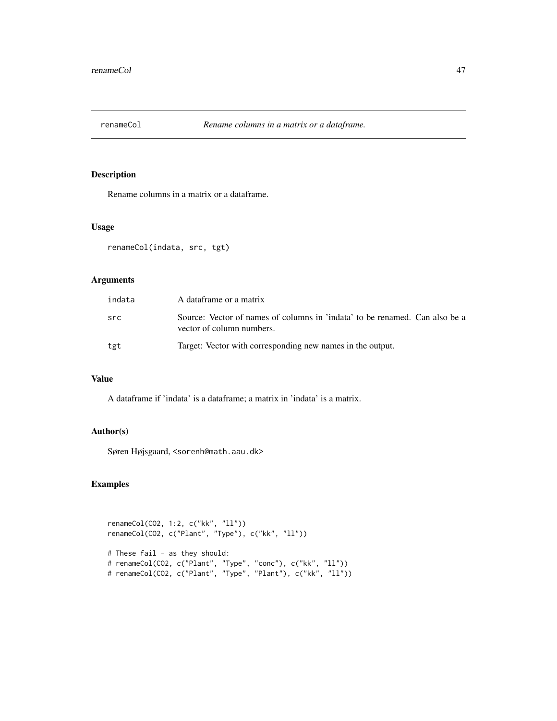<span id="page-46-0"></span>

Rename columns in a matrix or a dataframe.

#### Usage

renameCol(indata, src, tgt)

# Arguments

| indata | A dataframe or a matrix                                                                                  |
|--------|----------------------------------------------------------------------------------------------------------|
| src    | Source: Vector of names of columns in 'indata' to be renamed. Can also be a<br>vector of column numbers. |
| tgt    | Target: Vector with corresponding new names in the output.                                               |

# Value

A dataframe if 'indata' is a dataframe; a matrix in 'indata' is a matrix.

# Author(s)

Søren Højsgaard, <sorenh@math.aau.dk>

```
renameCol(CO2, 1:2, c("kk", "ll"))
renameCol(CO2, c("Plant", "Type"), c("kk", "ll"))
# These fail - as they should:
# renameCol(CO2, c("Plant", "Type", "conc"), c("kk", "ll"))
# renameCol(CO2, c("Plant", "Type", "Plant"), c("kk", "ll"))
```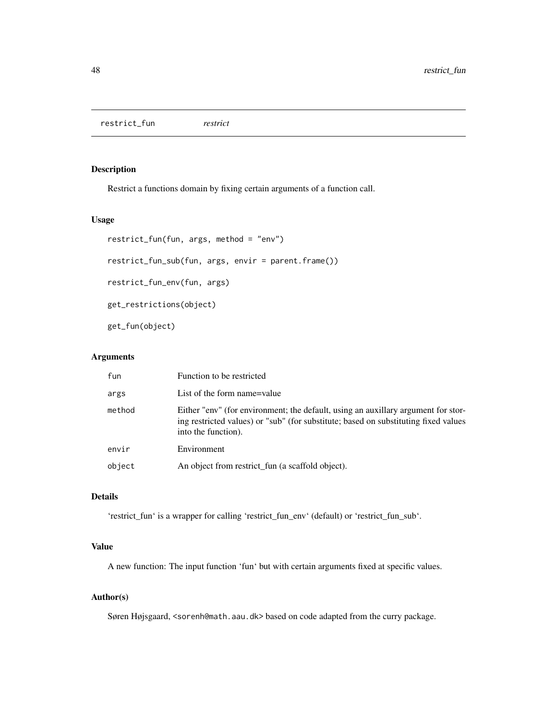<span id="page-47-0"></span>restrict\_fun *restrict*

# Description

Restrict a functions domain by fixing certain arguments of a function call.

# Usage

```
restrict_fun(fun, args, method = "env")
restrict_fun_sub(fun, args, envir = parent.frame())
restrict_fun_env(fun, args)
get_restrictions(object)
get_fun(object)
```
# Arguments

| fun    | Function to be restricted                                                                                                                                                                       |
|--------|-------------------------------------------------------------------------------------------------------------------------------------------------------------------------------------------------|
| args   | List of the form name=value                                                                                                                                                                     |
| method | Either "env" (for environment; the default, using an auxillary argument for stor-<br>ing restricted values) or "sub" (for substitute; based on substituting fixed values<br>into the function). |
| envir  | Environment                                                                                                                                                                                     |
| object | An object from restrict fun (a scaffold object).                                                                                                                                                |

# Details

'restrict\_fun' is a wrapper for calling 'restrict\_fun\_env' (default) or 'restrict\_fun\_sub'.

# Value

A new function: The input function 'fun' but with certain arguments fixed at specific values.

# Author(s)

Søren Højsgaard, <sorenh@math.aau.dk>based on code adapted from the curry package.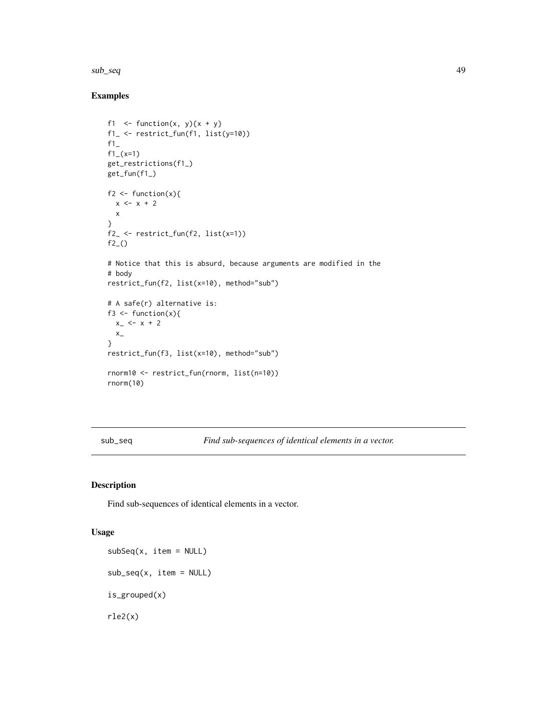#### <span id="page-48-0"></span>sub\_seq 49

# Examples

```
f1 \leftarrow function(x, y){x + y}
f1_ <- restrict_fun(f1, list(y=10))
f1<sub>-</sub>
f1_{-}(x=1)get_restrictions(f1_)
get_fun(f1_)
f2 \leftarrow function(x){
  x \le -x + 2x
}
f2_ <- restrict_fun(f2, list(x=1))
f2_()# Notice that this is absurd, because arguments are modified in the
# body
restrict_fun(f2, list(x=10), method="sub")
# A safe(r) alternative is:
f3 \leftarrow function(x){
  x - < x + 2x_{-}}
restrict_fun(f3, list(x=10), method="sub")
rnorm10 <- restrict_fun(rnorm, list(n=10))
rnorm(10)
```
sub\_seq *Find sub-sequences of identical elements in a vector.*

# <span id="page-48-1"></span>Description

Find sub-sequences of identical elements in a vector.

### Usage

subSeq(x, item = NULL)  $sub\_seq(x, item = NULL)$ is\_grouped(x) rle2(x)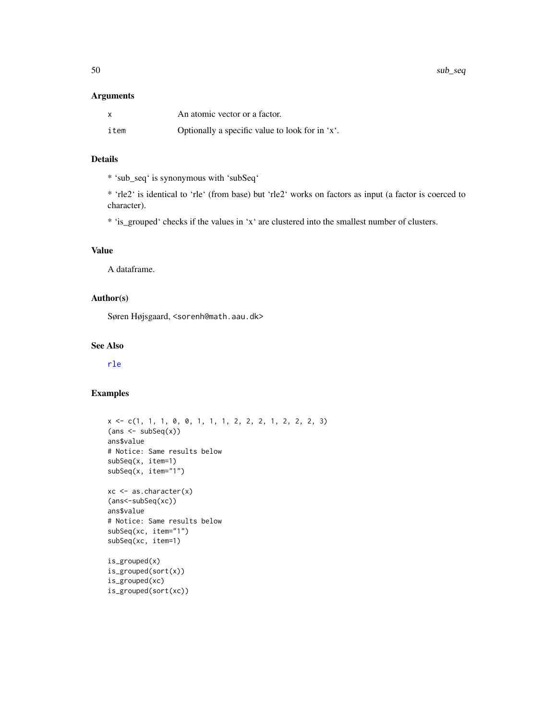<span id="page-49-0"></span>50 sub\_seq sub\_seq sub\_seq sub\_seq sub\_seq sub\_seq sub\_seq sub\_seq sub\_seq sub\_seq

#### Arguments

| $\times$ | An atomic vector or a factor.                   |
|----------|-------------------------------------------------|
| item     | Optionally a specific value to look for in 'x'. |

# Details

\* 'sub\_seq' is synonymous with 'subSeq'

\* 'rle2' is identical to 'rle' (from base) but 'rle2' works on factors as input (a factor is coerced to character).

\* 'is\_grouped' checks if the values in 'x' are clustered into the smallest number of clusters.

# Value

A dataframe.

# Author(s)

Søren Højsgaard, <sorenh@math.aau.dk>

# See Also

[rle](#page-0-0)

```
x <- c(1, 1, 1, 0, 0, 1, 1, 1, 2, 2, 2, 1, 2, 2, 2, 3)
{\max <- subSeq(x))
ans$value
# Notice: Same results below
subSeq(x, item=1)
subSeq(x, item="1")
xc <- as.character(x)
(ans<-subSeq(xc))
ans$value
# Notice: Same results below
subSeq(xc, item="1")
subSeq(xc, item=1)
is_grouped(x)
is_grouped(sort(x))
is_grouped(xc)
is_grouped(sort(xc))
```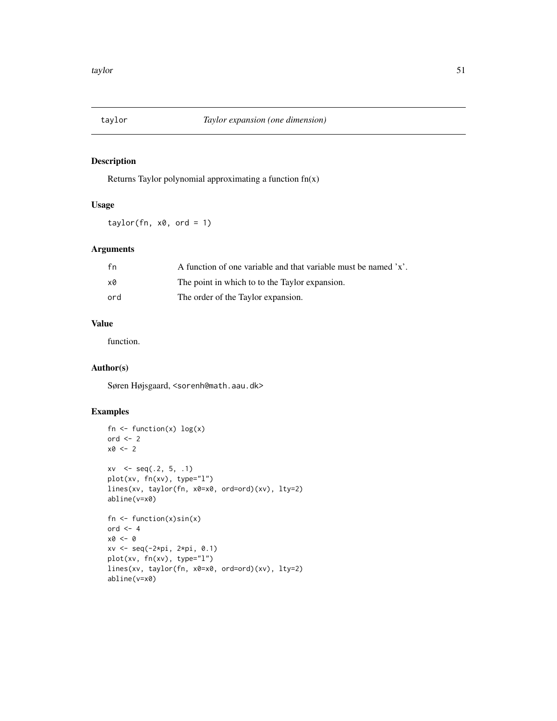<span id="page-50-0"></span>

Returns Taylor polynomial approximating a function fn(x)

# Usage

 $taylor(fn, x0, ord = 1)$ 

# Arguments

| fn  | A function of one variable and that variable must be named $x'$ . |
|-----|-------------------------------------------------------------------|
| x0  | The point in which to to the Taylor expansion.                    |
| ord | The order of the Taylor expansion.                                |

# Value

function.

# Author(s)

Søren Højsgaard, <sorenh@math.aau.dk>

```
fn \leq function(x) \log(x)ord <-2x0 \leftarrow 2xv \leq -\text{seq}(.2, 5, .1)plot(xv, fn(xv), type="l")
lines(xv, taylor(fn, x0=x0, ord=ord)(xv), lty=2)
abline(v=x0)
fn \leq function(x)sin(x)
ord <-4x0 <- 0
xv <- seq(-2*pi, 2*pi, 0.1)
plot(xv, fn(xv), type="l")
lines(xv, taylor(fn, x0=x0, ord=ord)(xv), lty=2)
abline(v=x0)
```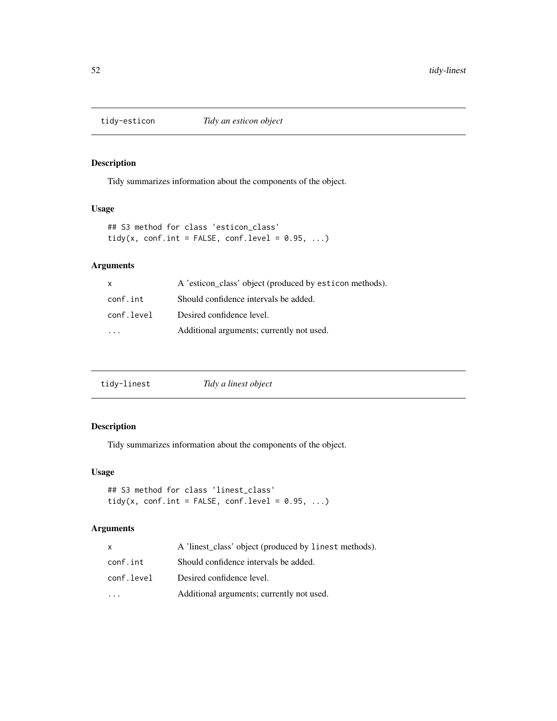<span id="page-51-0"></span>

Tidy summarizes information about the components of the object.

#### Usage

```
## S3 method for class 'esticon_class'
tidy(x, conf.int = FALSE, conf.level = 0.95, ...)
```
# Arguments

| $\mathsf{x}$ | A 'esticon_class' object (produced by esticon methods). |
|--------------|---------------------------------------------------------|
| conf.int     | Should confidence intervals be added.                   |
| conf.level   | Desired confidence level.                               |
|              | Additional arguments; currently not used.               |

| tidy-linest | Tidy a linest object |  |
|-------------|----------------------|--|
|-------------|----------------------|--|

# Description

Tidy summarizes information about the components of the object.

#### Usage

```
## S3 method for class 'linest_class'
tidy(x, conf.int = FALSE, conf.level = 0.95, ...)
```
# Arguments

| X          | A 'linest_class' object (produced by linest methods). |
|------------|-------------------------------------------------------|
| conf.int   | Should confidence intervals be added.                 |
| conf.level | Desired confidence level.                             |
|            | Additional arguments; currently not used.             |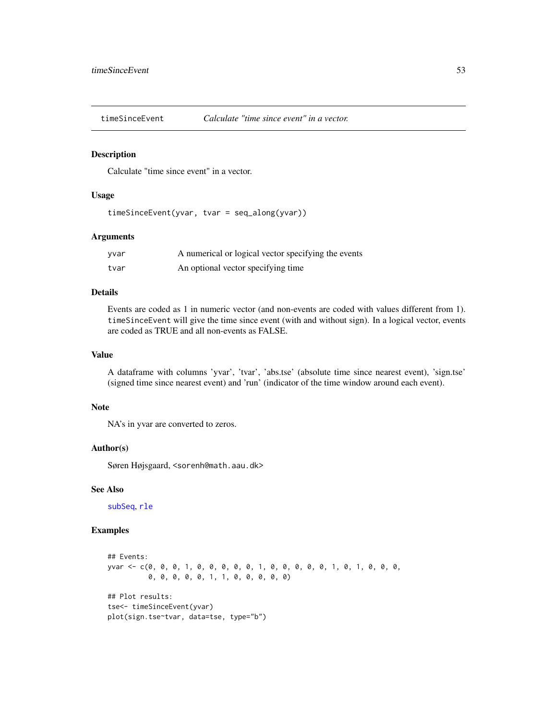<span id="page-52-0"></span>

Calculate "time since event" in a vector.

# Usage

timeSinceEvent(yvar, tvar = seq\_along(yvar))

# Arguments

| yvar | A numerical or logical vector specifying the events |
|------|-----------------------------------------------------|
| tvar | An optional vector specifying time                  |

# Details

Events are coded as 1 in numeric vector (and non-events are coded with values different from 1). timeSinceEvent will give the time since event (with and without sign). In a logical vector, events are coded as TRUE and all non-events as FALSE.

# Value

A dataframe with columns 'yvar', 'tvar', 'abs.tse' (absolute time since nearest event), 'sign.tse' (signed time since nearest event) and 'run' (indicator of the time window around each event).

#### Note

NA's in yvar are converted to zeros.

#### Author(s)

Søren Højsgaard, <sorenh@math.aau.dk>

# See Also

[subSeq](#page-48-1), [rle](#page-0-0)

```
## Events:
yvar <- c(0, 0, 0, 1, 0, 0, 0, 0, 0, 1, 0, 0, 0, 0, 0, 1, 0, 1, 0, 0, 0,
          0, 0, 0, 0, 0, 1, 1, 0, 0, 0, 0, 0)
## Plot results:
tse<- timeSinceEvent(yvar)
plot(sign.tse~tvar, data=tse, type="b")
```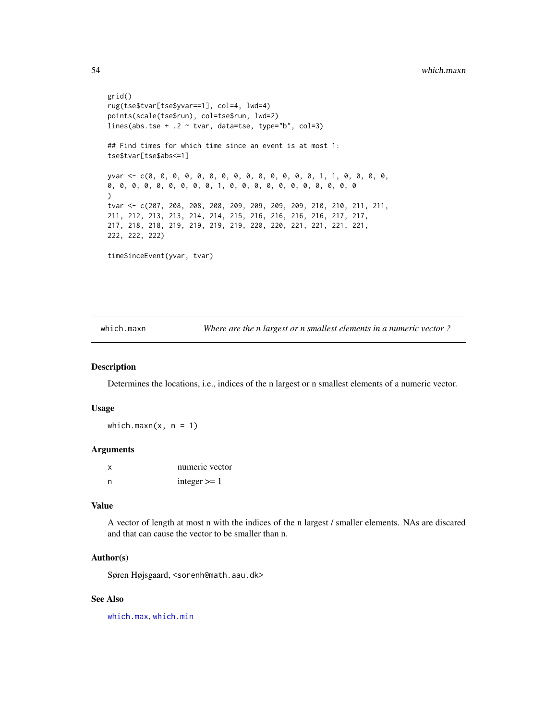```
grid()
rug(tse$tvar[tse$yvar==1], col=4, lwd=4)
points(scale(tse$run), col=tse$run, lwd=2)
lines(abs.tse + .2 \sim tvar, data=tse, type="b", col=3)
## Find times for which time since an event is at most 1:
tse$tvar[tse$abs<=1]
yvar <- c(0, 0, 0, 0, 0, 0, 0, 0, 0, 0, 0, 0, 0, 0, 1, 1, 0, 0, 0, 0,
0, 0, 0, 0, 0, 0, 0, 0, 0, 1, 0, 0, 0, 0, 0, 0, 0, 0, 0, 0, 0
)
tvar <- c(207, 208, 208, 208, 209, 209, 209, 209, 210, 210, 211, 211,
211, 212, 213, 213, 214, 214, 215, 216, 216, 216, 216, 217, 217,
217, 218, 218, 219, 219, 219, 219, 220, 220, 221, 221, 221, 221,
222, 222, 222)
timeSinceEvent(yvar, tvar)
```
which.maxn *Where are the n largest or n smallest elements in a numeric vector ?*

#### Description

Determines the locations, i.e., indices of the n largest or n smallest elements of a numeric vector.

#### Usage

which.maxn $(x, n = 1)$ 

#### Arguments

| $\times$ | numeric vector |
|----------|----------------|
| n        | integer $>= 1$ |

# Value

A vector of length at most n with the indices of the n largest / smaller elements. NAs are discared and that can cause the vector to be smaller than n.

#### Author(s)

Søren Højsgaard, <sorenh@math.aau.dk>

### See Also

[which.max](#page-0-0), [which.min](#page-0-0)

<span id="page-53-0"></span>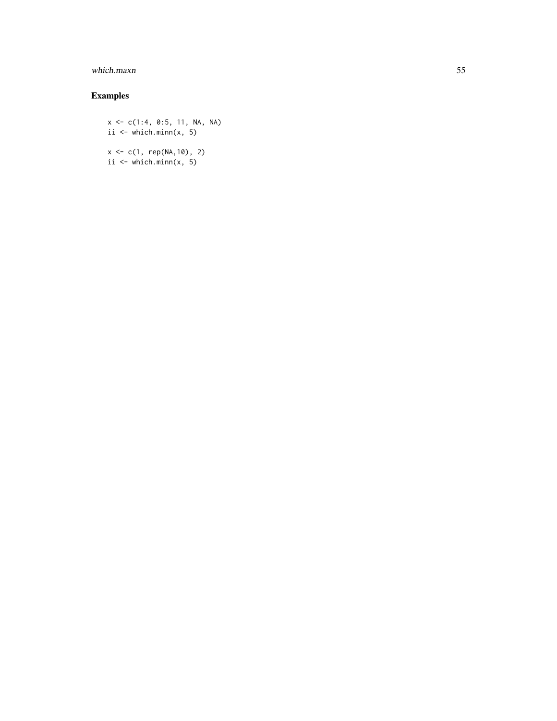# which.maxn 55

# Examples

x <- c(1:4, 0:5, 11, NA, NA) ii  $\leq$  which.minn(x, 5)

 $x \leq c(1, rep(NA,10), 2)$ ii  $\le$  which.minn(x, 5)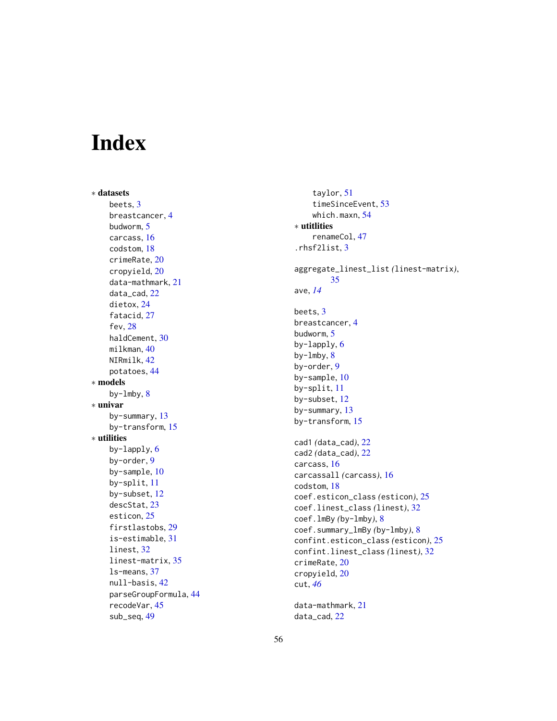# <span id="page-55-0"></span>Index

∗ datasets beets , [3](#page-2-0) breastcancer , [4](#page-3-0) budworm , [5](#page-4-0) carcass , [16](#page-15-0) codstom , [18](#page-17-0) crimeRate , [20](#page-19-0) cropyield , [20](#page-19-0) data-mathmark , [21](#page-20-0) data\_cad , [22](#page-21-0) dietox , [24](#page-23-0) fatacid, [27](#page-26-0) fev , [28](#page-27-0) haldCement , [30](#page-29-0) milkman , [40](#page-39-0) NIRmilk , [42](#page-41-0) potatoes , [44](#page-43-0) ∗ models by-lmby , [8](#page-7-0) ∗ univar by-summary , [13](#page-12-0) by-transform , [15](#page-14-0) ∗ utilities by-lapply, [6](#page-5-0) by-order , [9](#page-8-0) by-sample, [10](#page-9-0) by-split , [11](#page-10-0) by-subset , [12](#page-11-0) descStat , [23](#page-22-0) esticon, [25](#page-24-0) firstlastobs , [29](#page-28-0) is-estimable , [31](#page-30-0) linest, [32](#page-31-0) linest-matrix , [35](#page-34-0) ls-means , [37](#page-36-0) null-basis , [42](#page-41-0) parseGroupFormula , [44](#page-43-0) recodeVar , [45](#page-44-0) sub\_seq , [49](#page-48-0)

taylor , [51](#page-50-0) timeSinceEvent , [53](#page-52-0) which.maxn , [54](#page-53-0) ∗ utitlities renameCol , [47](#page-46-0) .rhsf2list , [3](#page-2-0) aggregate\_linest\_list *(*linest-matrix *)* , [35](#page-34-0) ave , *[14](#page-13-0)* beets , [3](#page-2-0) breastcancer , [4](#page-3-0) budworm, <mark>[5](#page-4-0)</mark> by-lapply, [6](#page-5-0) by-lmby, [8](#page-7-0) by-order , [9](#page-8-0) by-sample,  $10$ by-split , [11](#page-10-0) by-subset , [12](#page-11-0) by-summary , [13](#page-12-0) by-transform , [15](#page-14-0) cad1 *(*data\_cad *)* , [22](#page-21-0) cad2 *(*data\_cad *)* , [22](#page-21-0) carcass , [16](#page-15-0) carcassall *(*carcass *)* , [16](#page-15-0) codstom , [18](#page-17-0) coef.esticon\_class *(*esticon *)* , [25](#page-24-0) coef.linest\_class *(*linest *)* , [32](#page-31-0) coef.lmBy *(*by-lmby *)* , [8](#page-7-0) coef.summary\_lmBy *(*by-lmby *)* , [8](#page-7-0) confint.esticon\_class *(*esticon *)* , [25](#page-24-0) confint.linest\_class *(*linest *)* , [32](#page-31-0) crimeRate , [20](#page-19-0) cropyield , [20](#page-19-0) cut , *[46](#page-45-0)* data-mathmark , [21](#page-20-0)

data\_cad , [22](#page-21-0)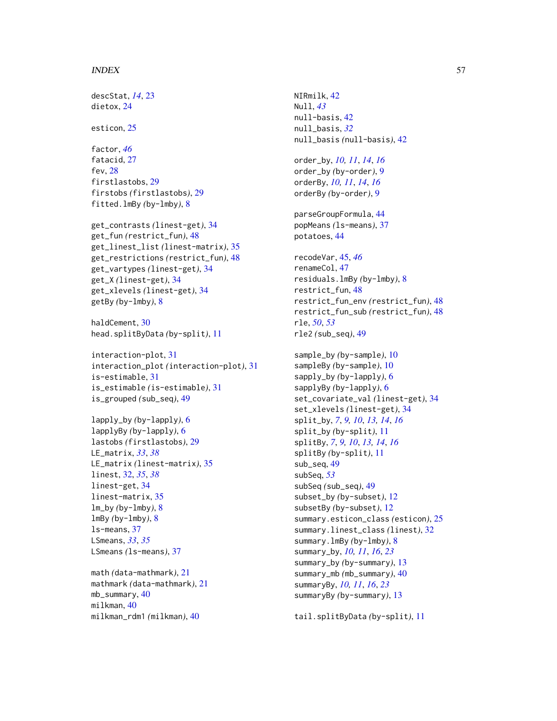#### INDEX 57

descStat, *[14](#page-13-0)*, [23](#page-22-0) dietox, [24](#page-23-0) esticon, [25](#page-24-0) factor, *[46](#page-45-0)* fatacid, [27](#page-26-0) fev, [28](#page-27-0) firstlastobs, [29](#page-28-0) firstobs *(*firstlastobs*)*, [29](#page-28-0) fitted.lmBy *(*by-lmby*)*, [8](#page-7-0) get\_contrasts *(*linest-get*)*, [34](#page-33-0) get\_fun *(*restrict\_fun*)*, [48](#page-47-0) get\_linest\_list *(*linest-matrix*)*, [35](#page-34-0) get\_restrictions *(*restrict\_fun*)*, [48](#page-47-0) get\_vartypes *(*linest-get*)*, [34](#page-33-0) get\_X *(*linest-get*)*, [34](#page-33-0) get\_xlevels *(*linest-get*)*, [34](#page-33-0) getBy *(*by-lmby*)*, [8](#page-7-0) haldCement, [30](#page-29-0) head.splitByData *(*by-split*)*, [11](#page-10-0) interaction-plot, [31](#page-30-0) interaction\_plot *(*interaction-plot*)*, [31](#page-30-0) is-estimable, [31](#page-30-0) is\_estimable *(*is-estimable*)*, [31](#page-30-0) is\_grouped *(*sub\_seq*)*, [49](#page-48-0) lapply\_by *(*by-lapply*)*, [6](#page-5-0) lapplyBy *(*by-lapply*)*, [6](#page-5-0) lastobs *(*firstlastobs*)*, [29](#page-28-0) LE\_matrix, *[33](#page-32-0)*, *[38](#page-37-0)* LE\_matrix *(*linest-matrix*)*, [35](#page-34-0) linest, [32,](#page-31-0) *[35](#page-34-0)*, *[38](#page-37-0)* linest-get, [34](#page-33-0) linest-matrix, [35](#page-34-0) lm\_by *(*by-lmby*)*, [8](#page-7-0) lmBy *(*by-lmby*)*, [8](#page-7-0) ls-means, [37](#page-36-0) LSmeans, *[33](#page-32-0)*, *[35](#page-34-0)*

math *(*data-mathmark*)*, [21](#page-20-0) mathmark *(*data-mathmark*)*, [21](#page-20-0) mb\_summary, [40](#page-39-0) milkman, [40](#page-39-0) milkman\_rdm1 *(*milkman*)*, [40](#page-39-0)

LSmeans *(*ls-means*)*, [37](#page-36-0)

NIRmilk, [42](#page-41-0) Null, *[43](#page-42-0)* null-basis, [42](#page-41-0) null\_basis, *[32](#page-31-0)* null\_basis *(*null-basis*)*, [42](#page-41-0) order\_by, *[10,](#page-9-0) [11](#page-10-0)*, *[14](#page-13-0)*, *[16](#page-15-0)* order\_by *(*by-order*)*, [9](#page-8-0) orderBy, *[10,](#page-9-0) [11](#page-10-0)*, *[14](#page-13-0)*, *[16](#page-15-0)* orderBy *(*by-order*)*, [9](#page-8-0) parseGroupFormula, [44](#page-43-0) popMeans *(*ls-means*)*, [37](#page-36-0) potatoes, [44](#page-43-0) recodeVar, [45,](#page-44-0) *[46](#page-45-0)* renameCol, [47](#page-46-0) residuals.lmBy *(*by-lmby*)*, [8](#page-7-0) restrict\_fun, [48](#page-47-0) restrict\_fun\_env *(*restrict\_fun*)*, [48](#page-47-0) restrict\_fun\_sub *(*restrict\_fun*)*, [48](#page-47-0) rle, *[50](#page-49-0)*, *[53](#page-52-0)* rle2 *(*sub\_seq*)*, [49](#page-48-0) sample\_by *(*by-sample*)*, [10](#page-9-0) sampleBy *(*by-sample*)*, [10](#page-9-0) sapply\_by *(*by-lapply*)*, [6](#page-5-0) sapplyBy *(*by-lapply*)*, [6](#page-5-0) set\_covariate\_val *(*linest-get*)*, [34](#page-33-0) set\_xlevels *(*linest-get*)*, [34](#page-33-0) split\_by, *[7](#page-6-0)*, *[9,](#page-8-0) [10](#page-9-0)*, *[13,](#page-12-0) [14](#page-13-0)*, *[16](#page-15-0)* split\_by *(*by-split*)*, [11](#page-10-0) splitBy, *[7](#page-6-0)*, *[9,](#page-8-0) [10](#page-9-0)*, *[13,](#page-12-0) [14](#page-13-0)*, *[16](#page-15-0)* splitBy *(*by-split*)*, [11](#page-10-0) sub\_seq, [49](#page-48-0) subSeq, *[53](#page-52-0)* subSeq *(*sub\_seq*)*, [49](#page-48-0) subset\_by *(*by-subset*)*, [12](#page-11-0) subsetBy *(*by-subset*)*, [12](#page-11-0) summary.esticon\_class *(*esticon*)*, [25](#page-24-0) summary.linest\_class *(*linest*)*, [32](#page-31-0) summary.lmBy *(*by-lmby*)*, [8](#page-7-0) summary\_by, *[10,](#page-9-0) [11](#page-10-0)*, *[16](#page-15-0)*, *[23](#page-22-0)* summary\_by *(*by-summary*)*, [13](#page-12-0) summary\_mb *(*mb\_summary*)*, [40](#page-39-0) summaryBy, *[10,](#page-9-0) [11](#page-10-0)*, *[16](#page-15-0)*, *[23](#page-22-0)* summaryBy *(*by-summary*)*, [13](#page-12-0)

tail.splitByData *(*by-split*)*, [11](#page-10-0)